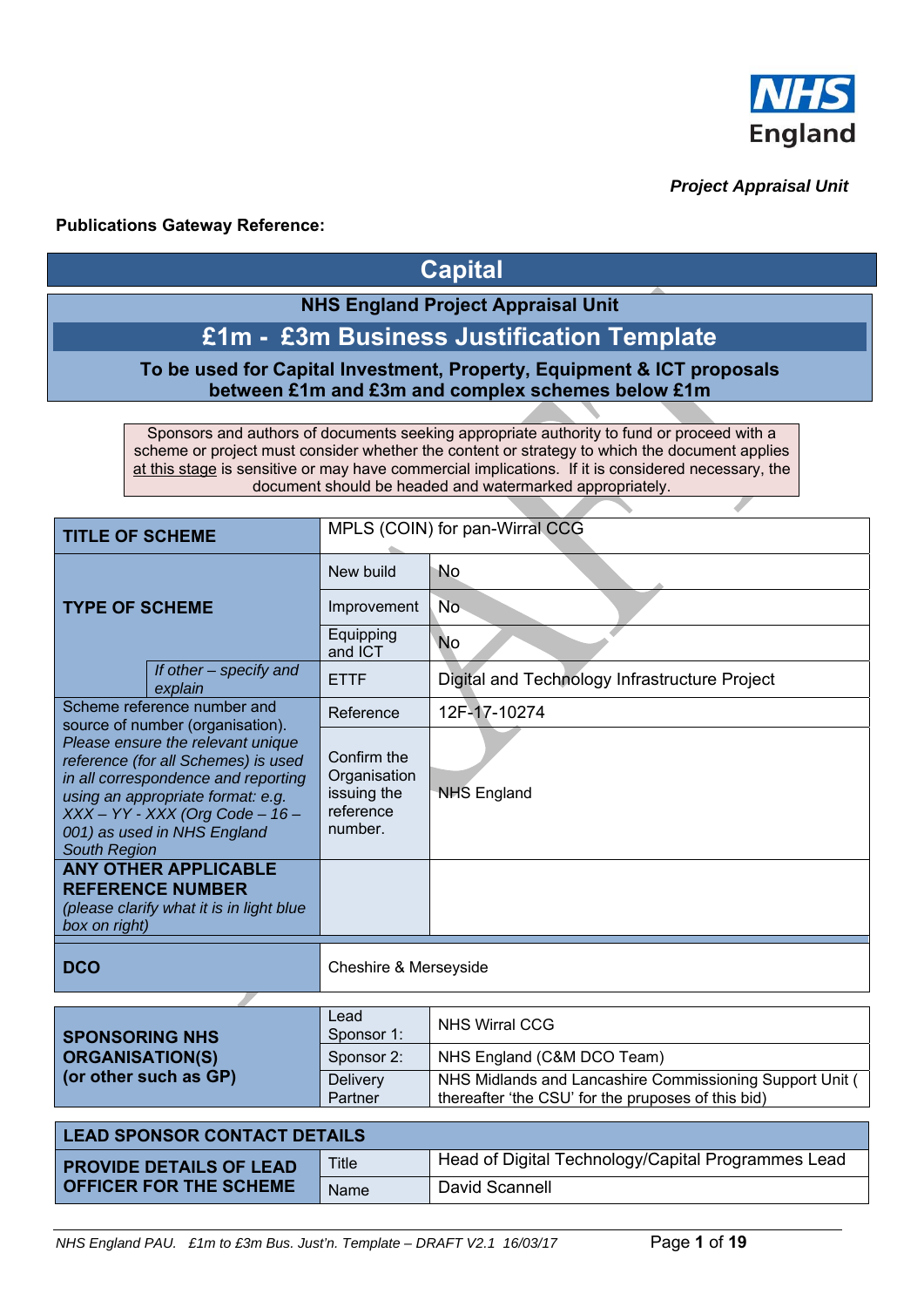

# *Project Appraisal Unit*

# **Publications Gateway Reference:**

# **Capital**

# **NHS England Project Appraisal Unit**

# **£1m - £3m Business Justification Template**

# **To be used for Capital Investment, Property, Equipment & ICT proposals between £1m and £3m and complex schemes below £1m**

Sponsors and authors of documents seeking appropriate authority to fund or proceed with a scheme or project must consider whether the content or strategy to which the document applies at this stage is sensitive or may have commercial implications. If it is considered necessary, the document should be headed and watermarked appropriately.

| <b>TITLE OF SCHEME</b>                                                                                                                                                                                                                                                              |                                                                                                    |                                                                    | MPLS (COIN) for pan-Wirral CCG                |  |  |  |  |
|-------------------------------------------------------------------------------------------------------------------------------------------------------------------------------------------------------------------------------------------------------------------------------------|----------------------------------------------------------------------------------------------------|--------------------------------------------------------------------|-----------------------------------------------|--|--|--|--|
|                                                                                                                                                                                                                                                                                     |                                                                                                    | New build                                                          | No                                            |  |  |  |  |
|                                                                                                                                                                                                                                                                                     | <b>TYPE OF SCHEME</b>                                                                              |                                                                    | <b>No</b>                                     |  |  |  |  |
|                                                                                                                                                                                                                                                                                     |                                                                                                    | Equipping<br>and ICT                                               | <b>No</b>                                     |  |  |  |  |
|                                                                                                                                                                                                                                                                                     | If other $-$ specify and<br>explain                                                                | <b>ETTF</b>                                                        | Digital and Technology Infrastructure Project |  |  |  |  |
|                                                                                                                                                                                                                                                                                     | Scheme reference number and                                                                        | Reference                                                          | 12F-17-10274                                  |  |  |  |  |
| source of number (organisation).<br>Please ensure the relevant unique<br>reference (for all Schemes) is used<br>in all correspondence and reporting<br>using an appropriate format: e.g.<br>$XXX - YY - XXX (Org Code - 16 -$<br>001) as used in NHS England<br><b>South Region</b> |                                                                                                    | Confirm the<br>Organisation<br>issuing the<br>reference<br>number. | <b>NHS England</b>                            |  |  |  |  |
| box on right)                                                                                                                                                                                                                                                                       | <b>ANY OTHER APPLICABLE</b><br><b>REFERENCE NUMBER</b><br>(please clarify what it is in light blue |                                                                    |                                               |  |  |  |  |
| <b>DCO</b>                                                                                                                                                                                                                                                                          |                                                                                                    | <b>Cheshire &amp; Merseyside</b>                                   |                                               |  |  |  |  |
|                                                                                                                                                                                                                                                                                     |                                                                                                    |                                                                    |                                               |  |  |  |  |
| <b>SPONSORING NHS</b>                                                                                                                                                                                                                                                               |                                                                                                    | Lead<br>Sponsor 1:                                                 | <b>NHS Wirral CCG</b>                         |  |  |  |  |
| <b>ORGANISATION(S)</b>                                                                                                                                                                                                                                                              |                                                                                                    | Sponsor 2:                                                         | NHS England (C&M DCO Team)                    |  |  |  |  |

| (or other such as GP)               | <b>Delivery</b><br>Partner | NHS Midlands and Lancashire Commissioning Support Unit (<br>thereafter 'the CSU' for the pruposes of this bid) |  |  |  |  |  |
|-------------------------------------|----------------------------|----------------------------------------------------------------------------------------------------------------|--|--|--|--|--|
| <b>LEAD SPONSOR CONTACT DETAILS</b> |                            |                                                                                                                |  |  |  |  |  |

| <b>PROVIDE DETAILS OF LEAD</b> | Title | Head of Digital Technology/Capital Programmes Lead |  |  |  |  |  |
|--------------------------------|-------|----------------------------------------------------|--|--|--|--|--|
| <b>OFFICER FOR THE SCHEME</b>  | Name  | David Scannell                                     |  |  |  |  |  |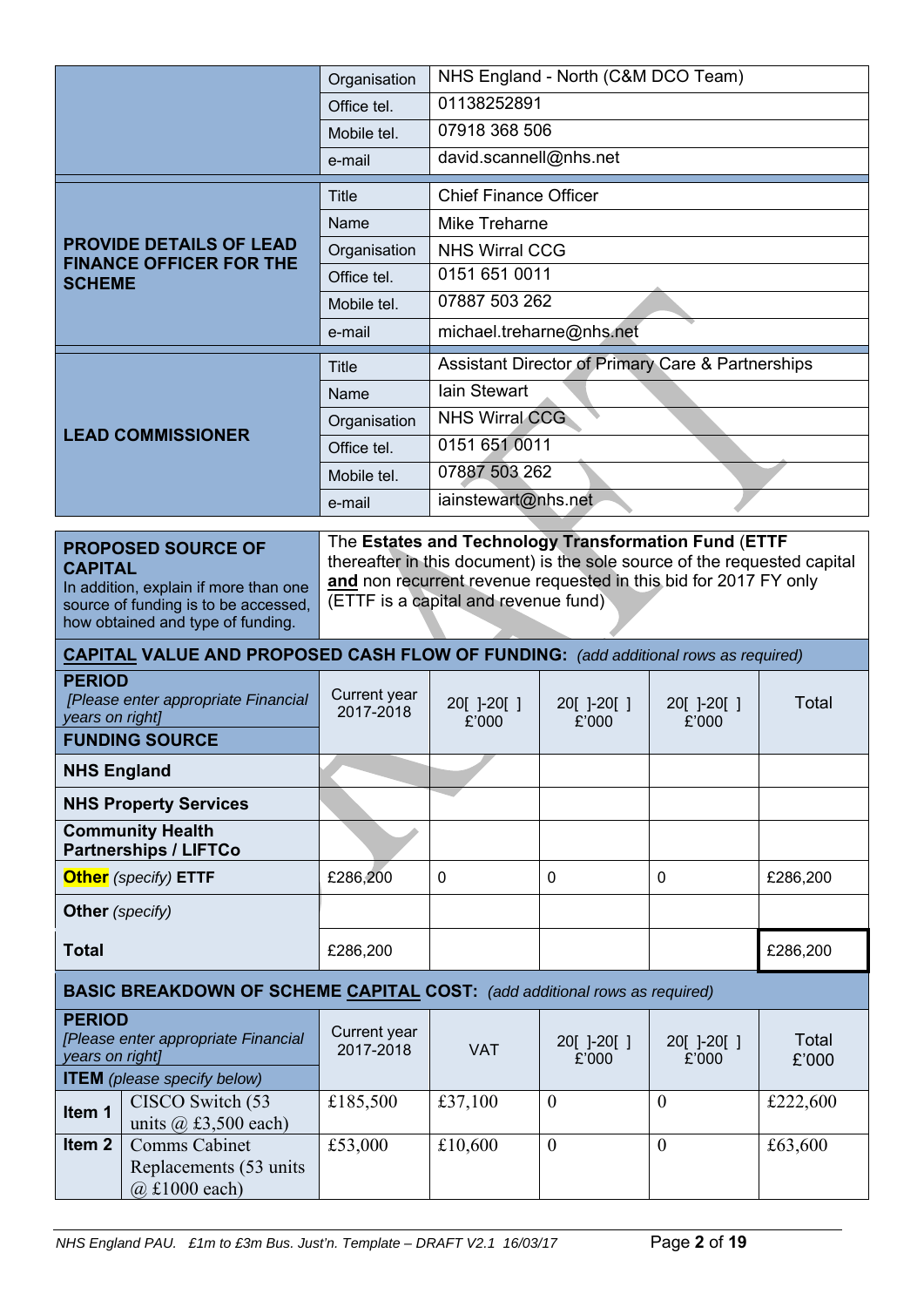|                                                                                                                                                                   | Organisation              | NHS England - North (C&M DCO Team)   |                                                                                                                                              |                    |                |  |  |  |
|-------------------------------------------------------------------------------------------------------------------------------------------------------------------|---------------------------|--------------------------------------|----------------------------------------------------------------------------------------------------------------------------------------------|--------------------|----------------|--|--|--|
|                                                                                                                                                                   | Office tel.               | 01138252891                          |                                                                                                                                              |                    |                |  |  |  |
|                                                                                                                                                                   | Mobile tel.               | 07918 368 506                        |                                                                                                                                              |                    |                |  |  |  |
|                                                                                                                                                                   | e-mail                    | david.scannell@nhs.net               |                                                                                                                                              |                    |                |  |  |  |
|                                                                                                                                                                   | <b>Title</b>              | <b>Chief Finance Officer</b>         |                                                                                                                                              |                    |                |  |  |  |
|                                                                                                                                                                   | Name                      |                                      | <b>Mike Treharne</b>                                                                                                                         |                    |                |  |  |  |
| <b>PROVIDE DETAILS OF LEAD</b><br><b>FINANCE OFFICER FOR THE</b>                                                                                                  | Organisation              | <b>NHS Wirral CCG</b>                |                                                                                                                                              |                    |                |  |  |  |
| <b>SCHEME</b>                                                                                                                                                     | Office tel.               | 0151 651 0011                        |                                                                                                                                              |                    |                |  |  |  |
|                                                                                                                                                                   | Mobile tel.               | 07887 503 262                        |                                                                                                                                              |                    |                |  |  |  |
|                                                                                                                                                                   | e-mail                    |                                      | michael.treharne@nhs.net                                                                                                                     |                    |                |  |  |  |
|                                                                                                                                                                   | Title                     |                                      | <b>Assistant Director of Primary Care &amp; Partnerships</b>                                                                                 |                    |                |  |  |  |
|                                                                                                                                                                   | Name                      | <b>lain Stewart</b>                  |                                                                                                                                              |                    |                |  |  |  |
| <b>LEAD COMMISSIONER</b>                                                                                                                                          | Organisation              | <b>NHS Wirral CCG</b>                |                                                                                                                                              |                    |                |  |  |  |
|                                                                                                                                                                   | Office tel.               | 0151 651 0011                        |                                                                                                                                              |                    |                |  |  |  |
|                                                                                                                                                                   | Mobile tel.               | 07887 503 262                        |                                                                                                                                              |                    |                |  |  |  |
|                                                                                                                                                                   | e-mail                    | iainstewart@nhs.net                  |                                                                                                                                              |                    |                |  |  |  |
| <b>PROPOSED SOURCE OF</b><br><b>CAPITAL</b><br>In addition, explain if more than one<br>source of funding is to be accessed,<br>how obtained and type of funding. |                           | (ETTF is a capital and revenue fund) | thereafter in this document) is the sole source of the requested capital<br>and non recurrent revenue requested in this bid for 2017 FY only |                    |                |  |  |  |
| <b>CAPITAL VALUE AND PROPOSED CASH FLOW OF FUNDING:</b> (add additional rows as required)                                                                         |                           |                                      |                                                                                                                                              |                    |                |  |  |  |
| <b>PERIOD</b><br>[Please enter appropriate Financial<br>years on right]                                                                                           | Current year<br>2017-2018 | 20[ ]-20[ ]<br>£'000                 | 20[]-20[]<br>£'000                                                                                                                           | 20[]-20[]<br>£'000 | Total          |  |  |  |
| <b>FUNDING SOURCE</b>                                                                                                                                             |                           |                                      |                                                                                                                                              |                    |                |  |  |  |
| <b>NHS England</b>                                                                                                                                                |                           |                                      |                                                                                                                                              |                    |                |  |  |  |
| <b>NHS Property Services</b>                                                                                                                                      |                           |                                      |                                                                                                                                              |                    |                |  |  |  |
| <b>Community Health</b><br><b>Partnerships / LIFTCo</b>                                                                                                           |                           |                                      |                                                                                                                                              |                    |                |  |  |  |
| <b>Other</b> (specify) ETTF                                                                                                                                       | £286,200                  | 0                                    | 0                                                                                                                                            | 0                  | £286,200       |  |  |  |
| <b>Other</b> (specify)                                                                                                                                            |                           |                                      |                                                                                                                                              |                    |                |  |  |  |
| <b>Total</b>                                                                                                                                                      | £286,200                  |                                      |                                                                                                                                              |                    | £286,200       |  |  |  |
| <b>BASIC BREAKDOWN OF SCHEME CAPITAL COST:</b> (add additional rows as required)                                                                                  |                           |                                      |                                                                                                                                              |                    |                |  |  |  |
| <b>PERIOD</b><br>[Please enter appropriate Financial<br>years on right]<br><b>ITEM</b> (please specify below)                                                     | Current year<br>2017-2018 | <b>VAT</b>                           | 20[]-20[]<br>£'000                                                                                                                           | 20[]-20[]<br>£'000 | Total<br>£'000 |  |  |  |
| CISCO Switch (53<br>Item 1                                                                                                                                        | £185,500                  | £37,100                              | $\theta$                                                                                                                                     | $\overline{0}$     | £222,600       |  |  |  |
| units $(a)$ , £3,500 each)<br>Item <sub>2</sub><br><b>Comms Cabinet</b><br>Replacements (53 units<br>$(a)$ £1000 each)                                            | £53,000                   | £10,600                              | $\theta$                                                                                                                                     | $\overline{0}$     | £63,600        |  |  |  |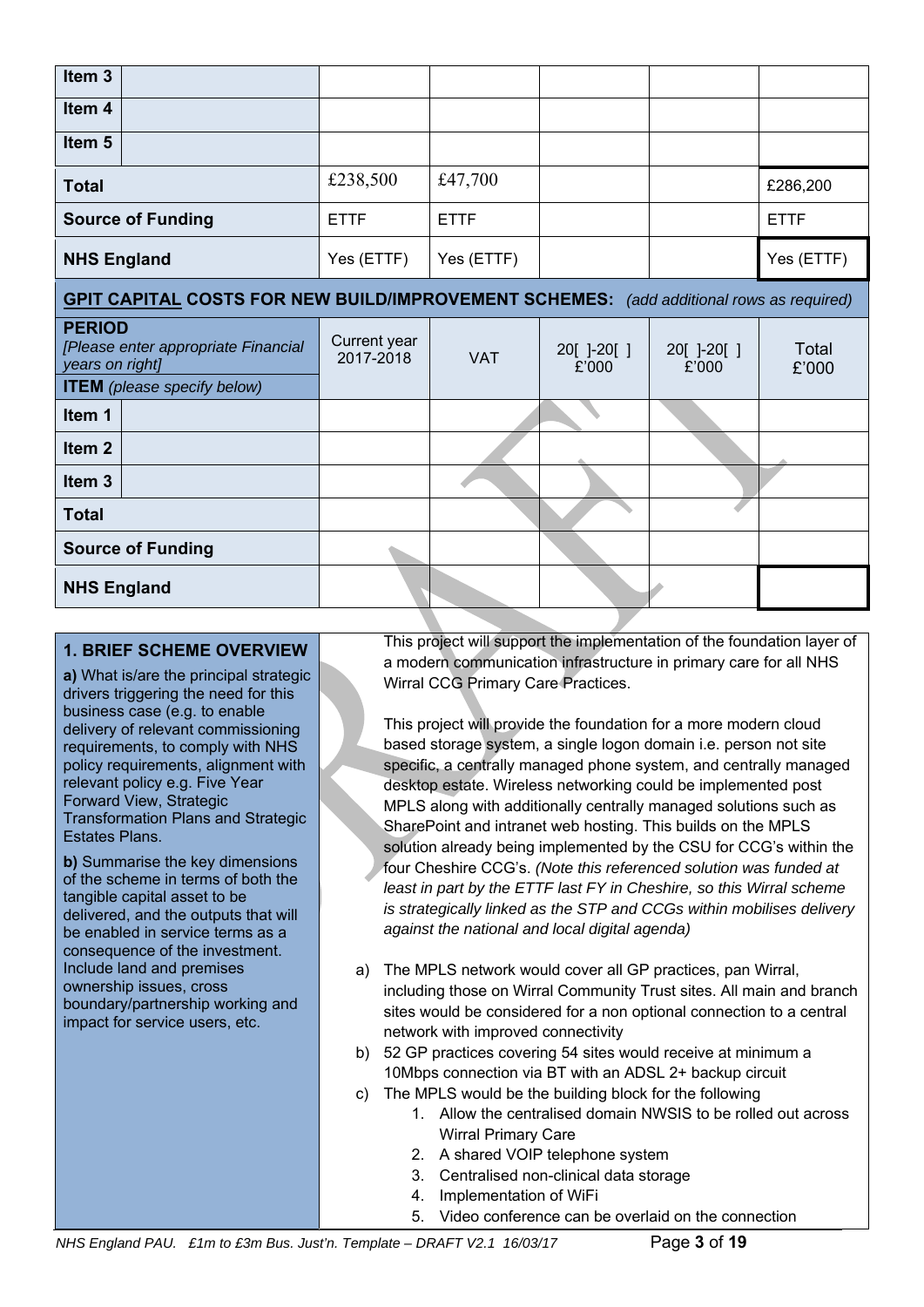| Item <sub>3</sub>                |                                                                                                |                           |             |                      |                      |                |
|----------------------------------|------------------------------------------------------------------------------------------------|---------------------------|-------------|----------------------|----------------------|----------------|
| Item 4                           |                                                                                                |                           |             |                      |                      |                |
| Item <sub>5</sub>                |                                                                                                |                           |             |                      |                      |                |
| <b>Total</b>                     |                                                                                                | £238,500                  | £47,700     |                      |                      | £286,200       |
|                                  | <b>Source of Funding</b>                                                                       | <b>ETTF</b>               | <b>ETTF</b> |                      |                      | <b>ETTF</b>    |
| <b>NHS England</b>               |                                                                                                | Yes (ETTF)                | Yes (ETTF)  |                      |                      | Yes (ETTF)     |
|                                  | <b>GPIT CAPITAL COSTS FOR NEW BUILD/IMPROVEMENT SCHEMES:</b> (add additional rows as required) |                           |             |                      |                      |                |
| <b>PERIOD</b><br>years on right] | [Please enter appropriate Financial                                                            | Current year<br>2017-2018 | <b>VAT</b>  | 20[ ]-20[ ]<br>£'000 | 20[ ]-20[ ]<br>£'000 | Total<br>£'000 |
|                                  | <b>ITEM</b> (please specify below)                                                             |                           |             |                      |                      |                |
| Item 1                           |                                                                                                |                           |             |                      |                      |                |
| Item <sub>2</sub>                |                                                                                                |                           |             |                      |                      |                |
| Item <sub>3</sub>                |                                                                                                |                           |             |                      |                      |                |
| <b>Total</b>                     |                                                                                                |                           |             |                      |                      |                |
|                                  | <b>Source of Funding</b>                                                                       |                           |             |                      |                      |                |
| <b>NHS England</b>               |                                                                                                |                           |             |                      |                      |                |

# **1. BRIEF SCHEME OVERVIEW**

**a)** What is/are the principal strategic drivers triggering the need for this business case (e.g. to enable delivery of relevant commissioning requirements, to comply with NHS policy requirements, alignment with relevant policy e.g. Five Year Forward View, Strategic Transformation Plans and Strategic Estates Plans.

**b)** Summarise the key dimensions of the scheme in terms of both the tangible capital asset to be delivered, and the outputs that will be enabled in service terms as a consequence of the investment. Include land and premises ownership issues, cross boundary/partnership working and impact for service users, etc.

This project will support the implementation of the foundation layer of a modern communication infrastructure in primary care for all NHS Wirral CCG Primary Care Practices.

This project will provide the foundation for a more modern cloud based storage system, a single logon domain i.e. person not site specific, a centrally managed phone system, and centrally managed desktop estate. Wireless networking could be implemented post MPLS along with additionally centrally managed solutions such as SharePoint and intranet web hosting. This builds on the MPLS solution already being implemented by the CSU for CCG's within the four Cheshire CCG's. *(Note this referenced solution was funded at least in part by the ETTF last FY in Cheshire, so this Wirral scheme is strategically linked as the STP and CCGs within mobilises delivery against the national and local digital agenda)* 

- a) The MPLS network would cover all GP practices, pan Wirral, including those on Wirral Community Trust sites. All main and branch sites would be considered for a non optional connection to a central network with improved connectivity
- b) 52 GP practices covering 54 sites would receive at minimum a 10Mbps connection via BT with an ADSL 2+ backup circuit
- c) The MPLS would be the building block for the following
	- 1. Allow the centralised domain NWSIS to be rolled out across Wirral Primary Care
	- 2. A shared VOIP telephone system
	- 3. Centralised non-clinical data storage
	- 4. Implementation of WiFi
	- 5. Video conference can be overlaid on the connection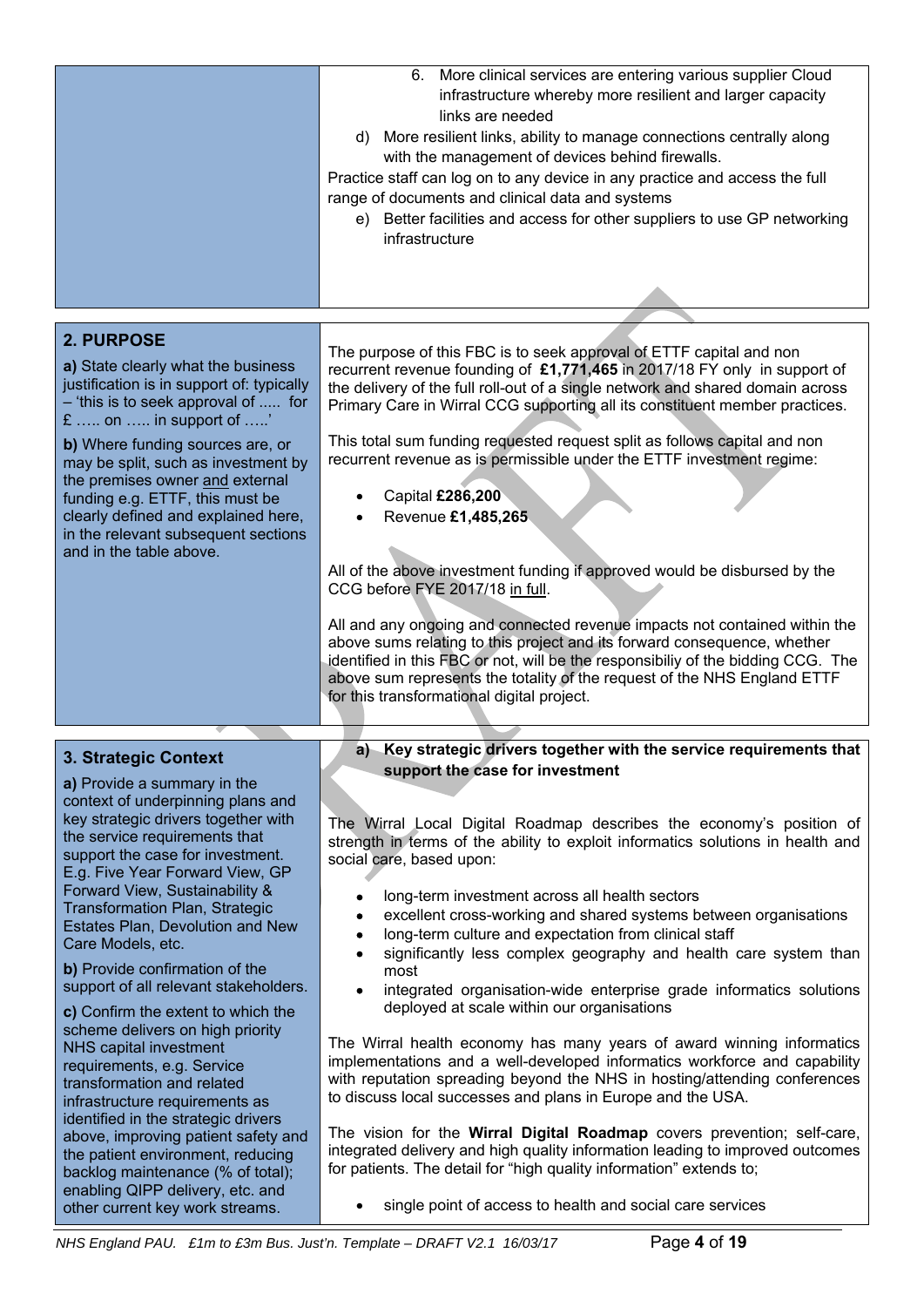|                                                                                                                                                                                                                                                                                                                                                                                                                           | More clinical services are entering various supplier Cloud<br>6.<br>infrastructure whereby more resilient and larger capacity<br>links are needed<br>d) More resilient links, ability to manage connections centrally along<br>with the management of devices behind firewalls.<br>Practice staff can log on to any device in any practice and access the full<br>range of documents and clinical data and systems<br>e) Better facilities and access for other suppliers to use GP networking<br>infrastructure                                                                                                                                                                                                                                                                                                                                                                                                                                                                                          |
|---------------------------------------------------------------------------------------------------------------------------------------------------------------------------------------------------------------------------------------------------------------------------------------------------------------------------------------------------------------------------------------------------------------------------|-----------------------------------------------------------------------------------------------------------------------------------------------------------------------------------------------------------------------------------------------------------------------------------------------------------------------------------------------------------------------------------------------------------------------------------------------------------------------------------------------------------------------------------------------------------------------------------------------------------------------------------------------------------------------------------------------------------------------------------------------------------------------------------------------------------------------------------------------------------------------------------------------------------------------------------------------------------------------------------------------------------|
|                                                                                                                                                                                                                                                                                                                                                                                                                           |                                                                                                                                                                                                                                                                                                                                                                                                                                                                                                                                                                                                                                                                                                                                                                                                                                                                                                                                                                                                           |
|                                                                                                                                                                                                                                                                                                                                                                                                                           |                                                                                                                                                                                                                                                                                                                                                                                                                                                                                                                                                                                                                                                                                                                                                                                                                                                                                                                                                                                                           |
| 2. PURPOSE<br>a) State clearly what the business<br>justification is in support of: typically<br>- 'this is to seek approval of  for<br>$E$ on  in support of '<br>b) Where funding sources are, or<br>may be split, such as investment by<br>the premises owner and external<br>funding e.g. ETTF, this must be<br>clearly defined and explained here,<br>in the relevant subsequent sections<br>and in the table above. | The purpose of this FBC is to seek approval of ETTF capital and non<br>recurrent revenue founding of £1,771,465 in 2017/18 FY only in support of<br>the delivery of the full roll-out of a single network and shared domain across<br>Primary Care in Wirral CCG supporting all its constituent member practices.<br>This total sum funding requested request split as follows capital and non<br>recurrent revenue as is permissible under the ETTF investment regime:<br>Capital £286,200<br>Revenue £1,485,265<br>All of the above investment funding if approved would be disbursed by the<br>CCG before FYE 2017/18 in full.<br>All and any ongoing and connected revenue impacts not contained within the<br>above sums relating to this project and its forward consequence, whether<br>identified in this FBC or not, will be the responsibiliy of the bidding CCG. The<br>above sum represents the totality of the request of the NHS England ETTF<br>for this transformational digital project. |

# **3. Strategic Context**

**a)** Provide a summary in the context of underpinning plans and key strategic drivers together with the service requirements that support the case for investment. E.g. Five Year Forward View, GP Forward View, Sustainability & Transformation Plan, Strategic Estates Plan, Devolution and New Care Models, etc.

**b)** Provide confirmation of the support of all relevant stakeholders.

**c)** Confirm the extent to which the scheme delivers on high priority NHS capital investment requirements, e.g. Service transformation and related infrastructure requirements as identified in the strategic drivers above, improving patient safety and the patient environment, reducing backlog maintenance (% of total); enabling QIPP delivery, etc. and other current key work streams.

# **a) Key strategic drivers together with the service requirements that support the case for investment**

The Wirral Local Digital Roadmap describes the economy's position of strength in terms of the ability to exploit informatics solutions in health and social care, based upon:

- long-term investment across all health sectors
- excellent cross-working and shared systems between organisations
- long-term culture and expectation from clinical staff
- significantly less complex geography and health care system than most
- integrated organisation-wide enterprise grade informatics solutions deployed at scale within our organisations

The Wirral health economy has many years of award winning informatics implementations and a well-developed informatics workforce and capability with reputation spreading beyond the NHS in hosting/attending conferences to discuss local successes and plans in Europe and the USA.

The vision for the **Wirral Digital Roadmap** covers prevention; self-care, integrated delivery and high quality information leading to improved outcomes for patients. The detail for "high quality information" extends to;

single point of access to health and social care services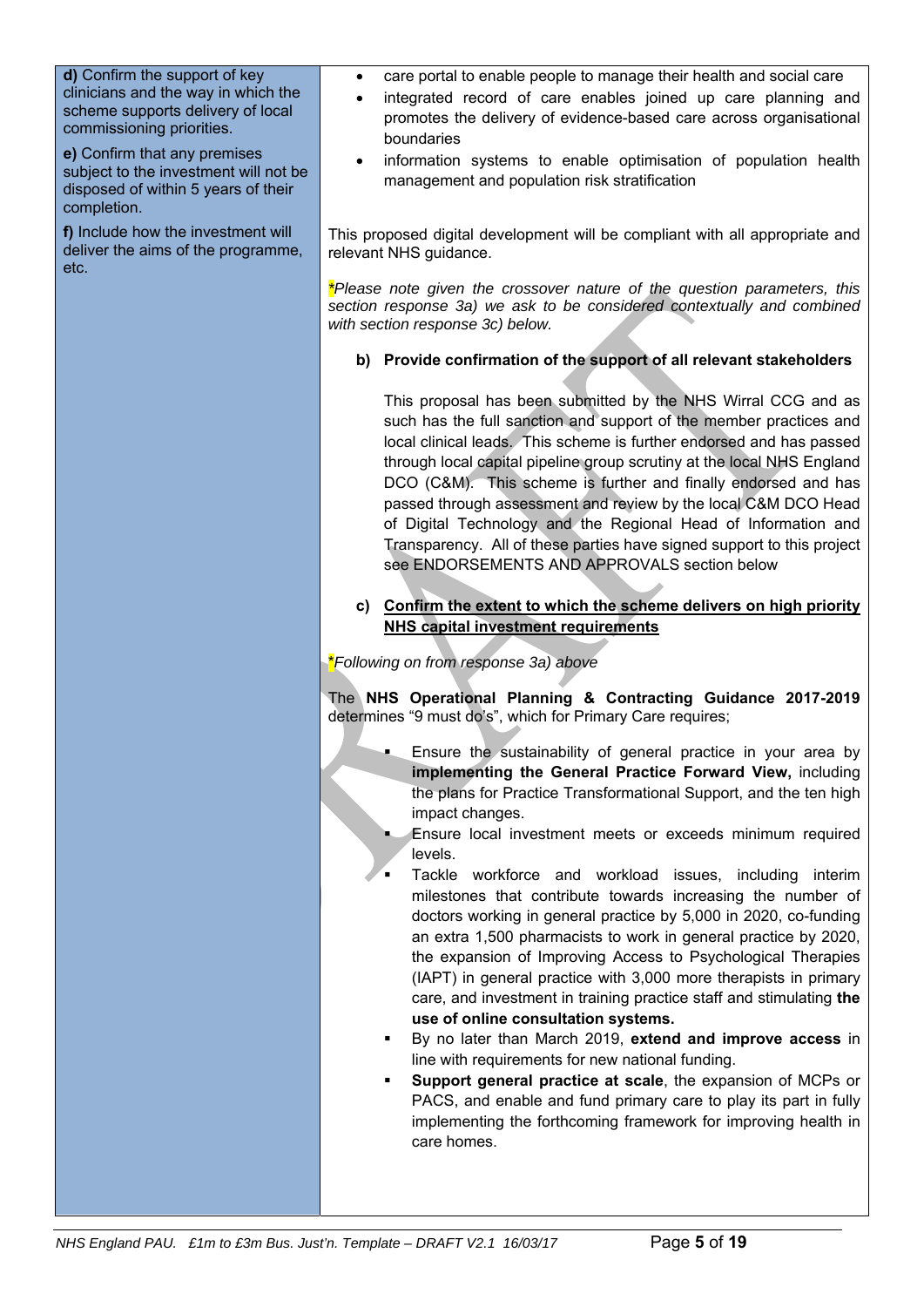**d)** Confirm the support of key clinicians and the way in which the scheme supports delivery of local commissioning priorities.

**e)** Confirm that any premises subject to the investment will not be disposed of within 5 years of their completion.

**f)** Include how the investment will deliver the aims of the programme, etc.

- care portal to enable people to manage their health and social care
- integrated record of care enables joined up care planning and promotes the delivery of evidence-based care across organisational boundaries
- information systems to enable optimisation of population health management and population risk stratification

This proposed digital development will be compliant with all appropriate and relevant NHS guidance.

*\*Please note given the crossover nature of the question parameters, this section response 3a) we ask to be considered contextually and combined with section response 3c) below.* 

# **b) Provide confirmation of the support of all relevant stakeholders**

This proposal has been submitted by the NHS Wirral CCG and as such has the full sanction and support of the member practices and local clinical leads. This scheme is further endorsed and has passed through local capital pipeline group scrutiny at the local NHS England DCO (C&M). This scheme is further and finally endorsed and has passed through assessment and review by the local C&M DCO Head of Digital Technology and the Regional Head of Information and Transparency. All of these parties have signed support to this project see ENDORSEMENTS AND APPROVALS section below

### **c) Confirm the extent to which the scheme delivers on high priority NHS capital investment requirements**

\**Following on from response 3a) above* 

The **NHS Operational Planning & Contracting Guidance 2017-2019** determines "9 must do's", which for Primary Care requires;

- Ensure the sustainability of general practice in your area by **implementing the General Practice Forward View,** including the plans for Practice Transformational Support, and the ten high impact changes.
- Ensure local investment meets or exceeds minimum required levels.
- Tackle workforce and workload issues, including interim milestones that contribute towards increasing the number of doctors working in general practice by 5,000 in 2020, co-funding an extra 1,500 pharmacists to work in general practice by 2020, the expansion of Improving Access to Psychological Therapies (IAPT) in general practice with 3,000 more therapists in primary care, and investment in training practice staff and stimulating **the use of online consultation systems.**
- By no later than March 2019, **extend and improve access** in line with requirements for new national funding.
- **Support general practice at scale**, the expansion of MCPs or PACS, and enable and fund primary care to play its part in fully implementing the forthcoming framework for improving health in care homes.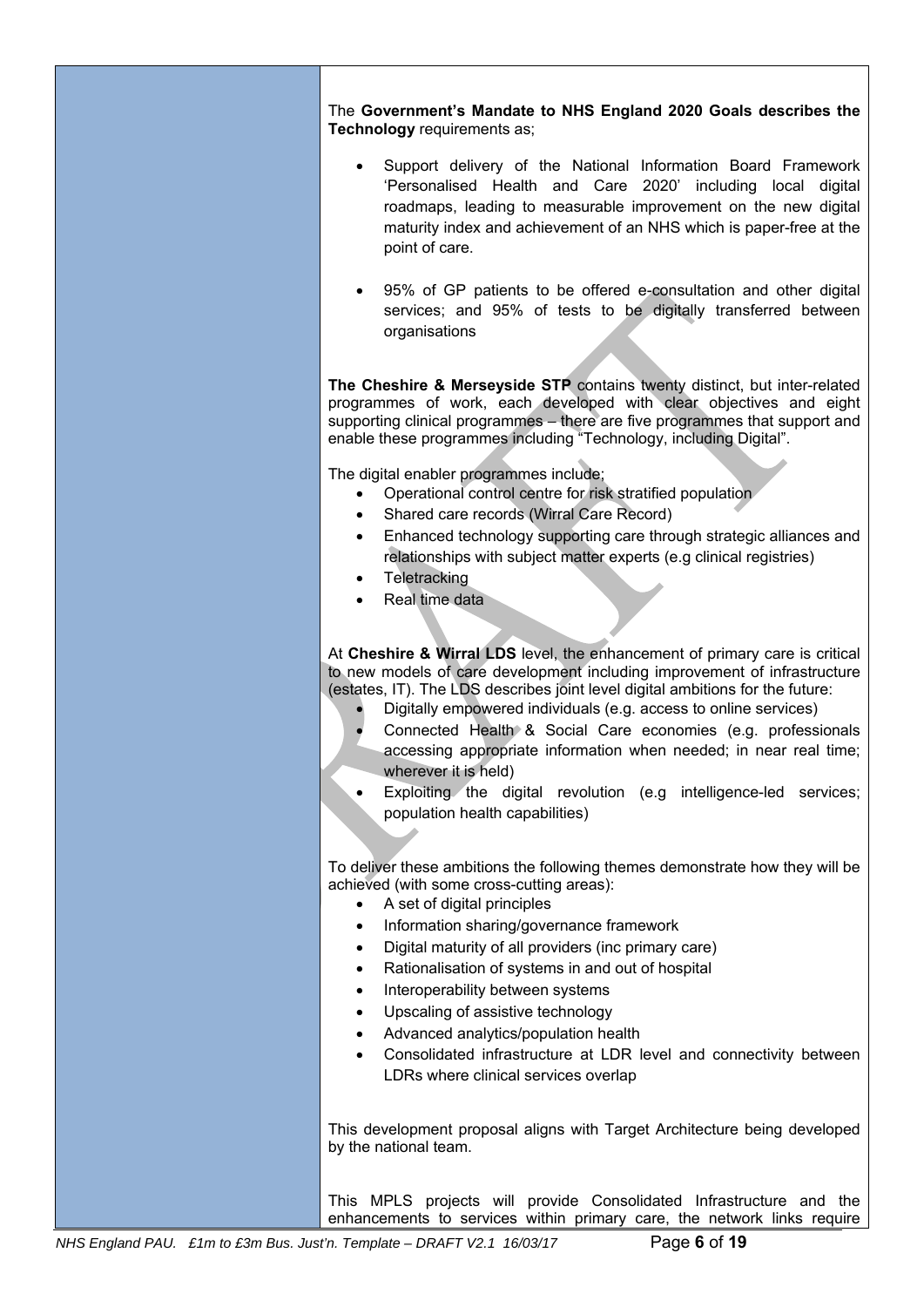The **Government's Mandate to NHS England 2020 Goals describes the Technology** requirements as;

- Support delivery of the National Information Board Framework 'Personalised Health and Care 2020' including local digital roadmaps, leading to measurable improvement on the new digital maturity index and achievement of an NHS which is paper-free at the point of care.
- 95% of GP patients to be offered e-consultation and other digital services; and 95% of tests to be digitally transferred between organisations

**The Cheshire & Merseyside STP** contains twenty distinct, but inter-related programmes of work, each developed with clear objectives and eight supporting clinical programmes – there are five programmes that support and enable these programmes including "Technology, including Digital".

The digital enabler programmes include;

- Operational control centre for risk stratified population
- Shared care records (Wirral Care Record)
- Enhanced technology supporting care through strategic alliances and relationships with subject matter experts (e.g clinical registries)
- **Teletracking**
- Real time data

At **Cheshire & Wirral LDS** level, the enhancement of primary care is critical to new models of care development including improvement of infrastructure (estates, IT). The LDS describes joint level digital ambitions for the future:

- Digitally empowered individuals (e.g. access to online services)
- Connected Health & Social Care economies (e.g. professionals accessing appropriate information when needed; in near real time; wherever it is held)
- Exploiting the digital revolution (e.g intelligence-led services; population health capabilities)

To deliver these ambitions the following themes demonstrate how they will be achieved (with some cross-cutting areas):

- A set of digital principles
- Information sharing/governance framework
- Digital maturity of all providers (inc primary care)
- Rationalisation of systems in and out of hospital
- Interoperability between systems
- Upscaling of assistive technology
- Advanced analytics/population health
- Consolidated infrastructure at LDR level and connectivity between LDRs where clinical services overlap

This development proposal aligns with Target Architecture being developed by the national team.

This MPLS projects will provide Consolidated Infrastructure and the enhancements to services within primary care, the network links require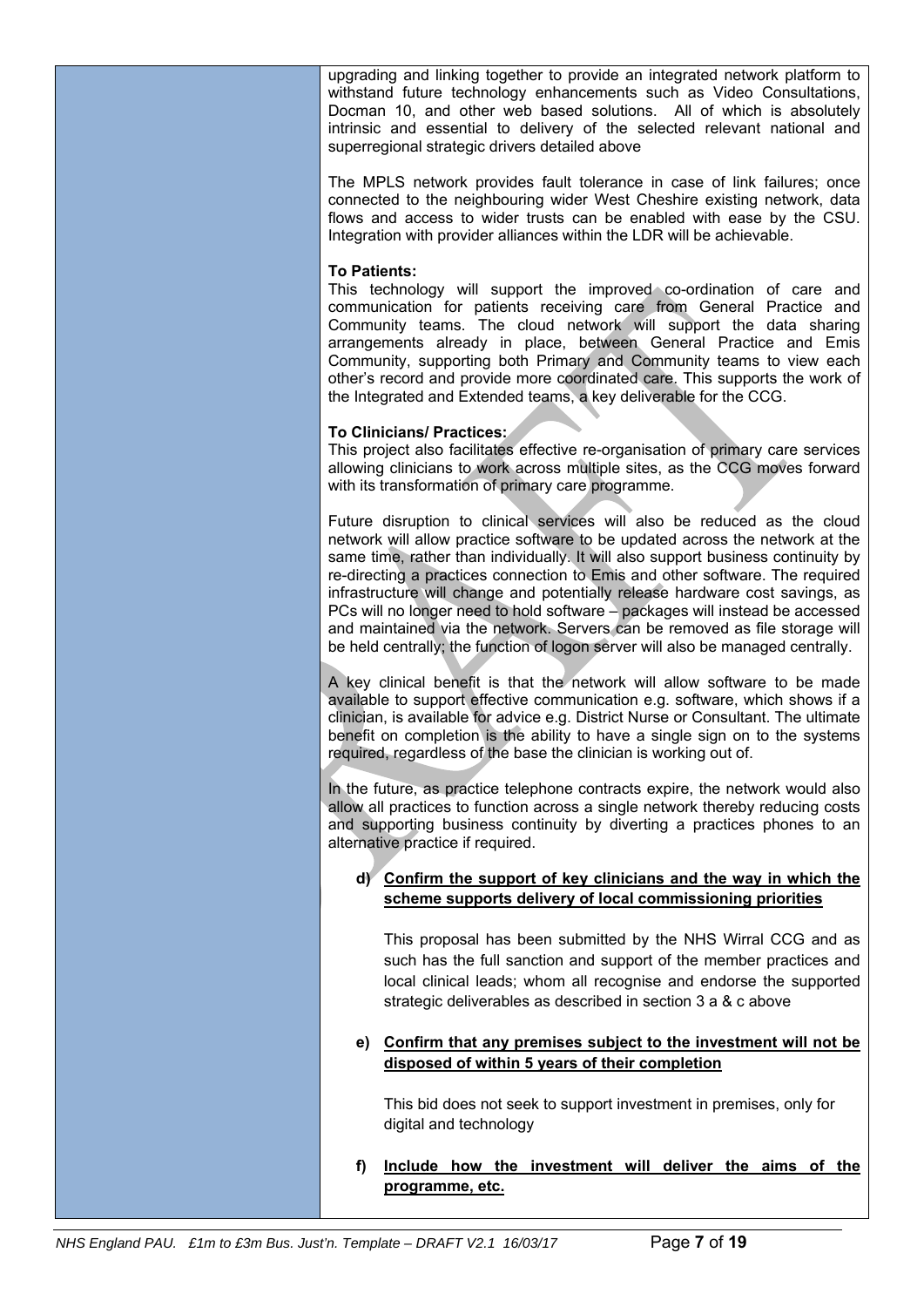upgrading and linking together to provide an integrated network platform to withstand future technology enhancements such as Video Consultations, Docman 10, and other web based solutions. All of which is absolutely intrinsic and essential to delivery of the selected relevant national and superregional strategic drivers detailed above

The MPLS network provides fault tolerance in case of link failures; once connected to the neighbouring wider West Cheshire existing network, data flows and access to wider trusts can be enabled with ease by the CSU. Integration with provider alliances within the LDR will be achievable.

#### **To Patients:**

This technology will support the improved co-ordination of care and communication for patients receiving care from General Practice and Community teams. The cloud network will support the data sharing arrangements already in place, between General Practice and Emis Community, supporting both Primary and Community teams to view each other's record and provide more coordinated care. This supports the work of the Integrated and Extended teams, a key deliverable for the CCG.

#### **To Clinicians/ Practices:**

This project also facilitates effective re-organisation of primary care services allowing clinicians to work across multiple sites, as the CCG moves forward with its transformation of primary care programme.

Future disruption to clinical services will also be reduced as the cloud network will allow practice software to be updated across the network at the same time, rather than individually. It will also support business continuity by re-directing a practices connection to Emis and other software. The required infrastructure will change and potentially release hardware cost savings, as PCs will no longer need to hold software – packages will instead be accessed and maintained via the network. Servers can be removed as file storage will be held centrally; the function of logon server will also be managed centrally.

A key clinical benefit is that the network will allow software to be made available to support effective communication e.g. software, which shows if a clinician, is available for advice e.g. District Nurse or Consultant. The ultimate benefit on completion is the ability to have a single sign on to the systems required, regardless of the base the clinician is working out of.

In the future, as practice telephone contracts expire, the network would also allow all practices to function across a single network thereby reducing costs and supporting business continuity by diverting a practices phones to an alternative practice if required.

# **d) Confirm the support of key clinicians and the way in which the scheme supports delivery of local commissioning priorities**

This proposal has been submitted by the NHS Wirral CCG and as such has the full sanction and support of the member practices and local clinical leads; whom all recognise and endorse the supported strategic deliverables as described in section 3 a & c above

### **e) Confirm that any premises subject to the investment will not be disposed of within 5 years of their completion**

This bid does not seek to support investment in premises, only for digital and technology

**f) Include how the investment will deliver the aims of the programme, etc.**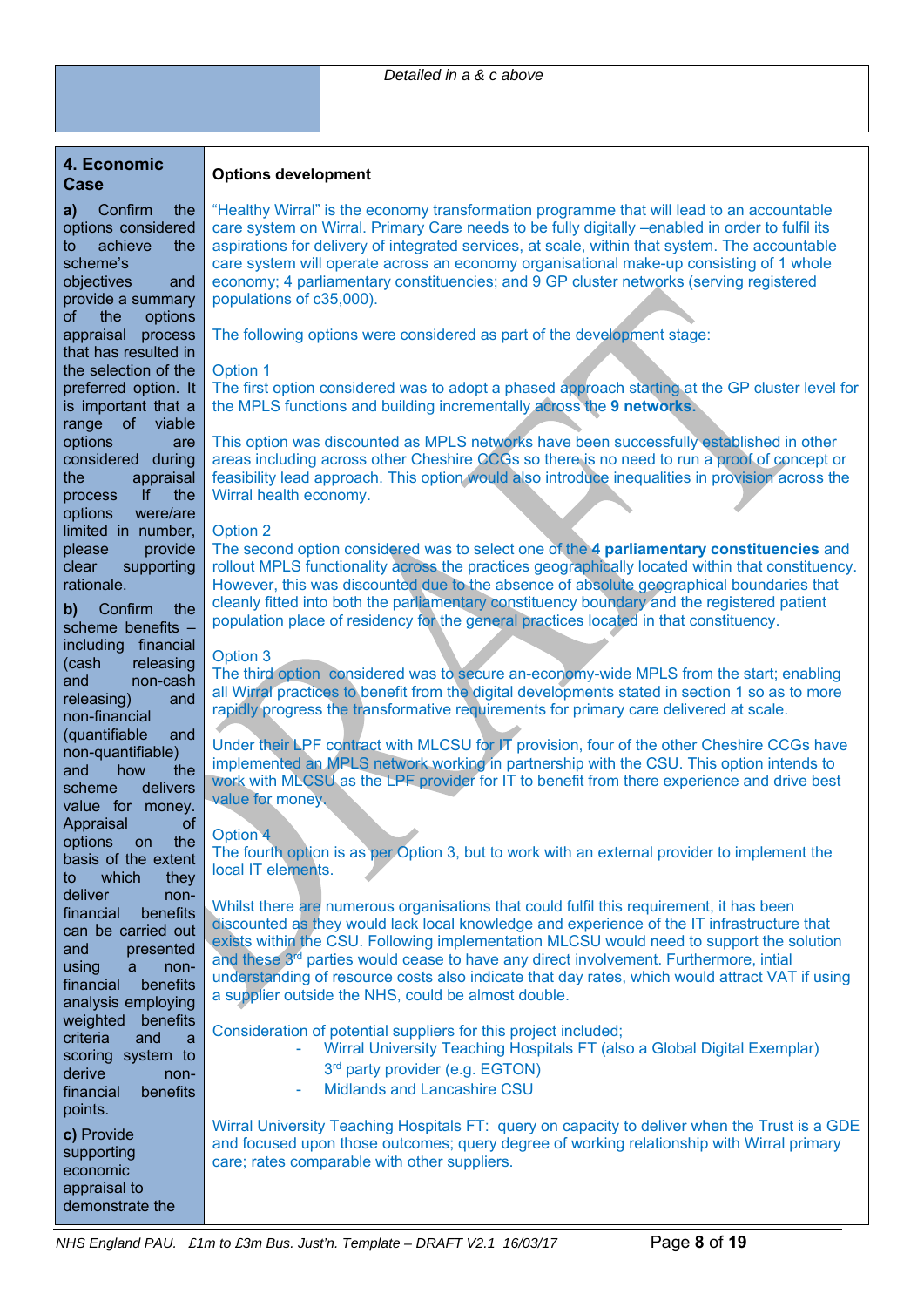### **4. Economic Case**

### **Options development**

**a)** Confirm the options considered to achieve the scheme's objectives and provide a summary of the options appraisal process that has resulted in the selection of the preferred option. It is important that a range of viable options are considered during the appraisal process If the options were/are limited in number, please provide clear supporting rationale.

**b)** Confirm the scheme benefits – including financial (cash releasing and non-cash releasing) and non-financial (quantifiable and non-quantifiable) and how the scheme delivers value for money. Appraisal of options on the basis of the extent to which they deliver nonfinancial benefits can be carried out and presented using a nonfinancial benefits analysis employing weighted benefits criteria and a scoring system to derive nonfinancial benefits points. **c)** Provide

supporting economic appraisal to demonstrate the "Healthy Wirral" is the economy transformation programme that will lead to an accountable care system on Wirral. Primary Care needs to be fully digitally –enabled in order to fulfil its aspirations for delivery of integrated services, at scale, within that system. The accountable care system will operate across an economy organisational make-up consisting of 1 whole economy; 4 parliamentary constituencies; and 9 GP cluster networks (serving registered populations of c35,000).

The following options were considered as part of the development stage:

# Option 1

The first option considered was to adopt a phased approach starting at the GP cluster level for the MPLS functions and building incrementally across the **9 networks.** 

This option was discounted as MPLS networks have been successfully established in other areas including across other Cheshire CCGs so there is no need to run a proof of concept or feasibility lead approach. This option would also introduce inequalities in provision across the Wirral health economy.

#### Option 2

The second option considered was to select one of the **4 parliamentary constituencies** and rollout MPLS functionality across the practices geographically located within that constituency. However, this was discounted due to the absence of absolute geographical boundaries that cleanly fitted into both the parliamentary constituency boundary and the registered patient population place of residency for the general practices located in that constituency.

#### Option 3

The third option considered was to secure an-economy-wide MPLS from the start; enabling all Wirral practices to benefit from the digital developments stated in section 1 so as to more rapidly progress the transformative requirements for primary care delivered at scale.

Under their LPF contract with MLCSU for IT provision, four of the other Cheshire CCGs have implemented an MPLS network working in partnership with the CSU. This option intends to work with MLCSU as the LPF provider for IT to benefit from there experience and drive best value for money.

#### Option 4

The fourth option is as per Option 3, but to work with an external provider to implement the local IT elements.

Whilst there are numerous organisations that could fulfil this requirement, it has been discounted as they would lack local knowledge and experience of the IT infrastructure that exists within the CSU. Following implementation MLCSU would need to support the solution and these 3rd parties would cease to have any direct involvement. Furthermore, intial understanding of resource costs also indicate that day rates, which would attract VAT if using a supplier outside the NHS, could be almost double.

Consideration of potential suppliers for this project included;

- Wirral University Teaching Hospitals FT (also a Global Digital Exemplar)
	- 3<sup>rd</sup> party provider (e.g. EGTON)
- Midlands and Lancashire CSU

Wirral University Teaching Hospitals FT: query on capacity to deliver when the Trust is a GDE and focused upon those outcomes; query degree of working relationship with Wirral primary care; rates comparable with other suppliers.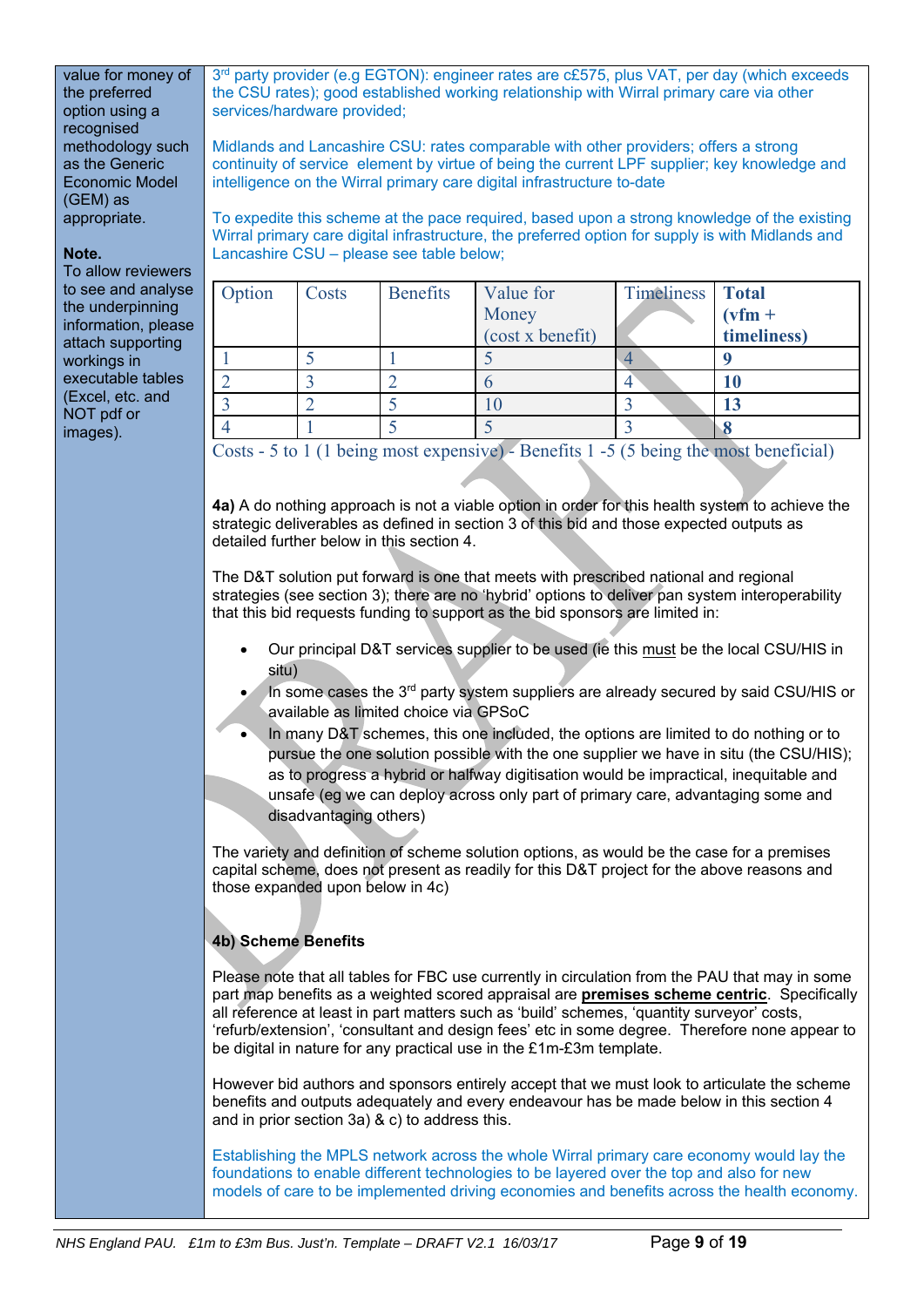value for money of the preferred option using a recognised methodology such as the Generic Economic Model (GEM) as appropriate.

#### **Note.**

To allow reviewers to see and analyse the underpinning information, please attach supporting workings in executable tables (Excel, etc. and NOT pdf or images).

3<sup>rd</sup> party provider (e.g EGTON): engineer rates are c£575, plus VAT, per day (which exceeds the CSU rates); good established working relationship with Wirral primary care via other services/hardware provided;

Midlands and Lancashire CSU: rates comparable with other providers; offers a strong continuity of service element by virtue of being the current LPF supplier; key knowledge and intelligence on the Wirral primary care digital infrastructure to-date

To expedite this scheme at the pace required, based upon a strong knowledge of the existing Wirral primary care digital infrastructure, the preferred option for supply is with Midlands and Lancashire CSU – please see table below;

| Option | Costs | <b>Benefits</b> | Value for        | Timeliness Total |             |
|--------|-------|-----------------|------------------|------------------|-------------|
|        |       |                 | Money            |                  | $(vfm +$    |
|        |       |                 | (cost x benefit) |                  | timeliness) |
|        |       |                 |                  |                  |             |
|        |       |                 |                  |                  | IJ          |
|        |       |                 |                  |                  |             |
|        |       |                 |                  |                  |             |

Costs - 5 to 1 (1 being most expensive) - Benefits 1 -5 (5 being the most beneficial)

**4a)** A do nothing approach is not a viable option in order for this health system to achieve the strategic deliverables as defined in section 3 of this bid and those expected outputs as detailed further below in this section 4.

The D&T solution put forward is one that meets with prescribed national and regional strategies (see section 3); there are no 'hybrid' options to deliver pan system interoperability that this bid requests funding to support as the bid sponsors are limited in:

- Our principal D&T services supplier to be used (ie this must be the local CSU/HIS in situ)
- In some cases the 3<sup>rd</sup> party system suppliers are already secured by said CSU/HIS or available as limited choice via GPSoC
- In many D&T schemes, this one included, the options are limited to do nothing or to pursue the one solution possible with the one supplier we have in situ (the CSU/HIS); as to progress a hybrid or halfway digitisation would be impractical, inequitable and unsafe (eg we can deploy across only part of primary care, advantaging some and disadvantaging others)

The variety and definition of scheme solution options, as would be the case for a premises capital scheme, does not present as readily for this D&T project for the above reasons and those expanded upon below in 4c)

# **4b) Scheme Benefits**

Please note that all tables for FBC use currently in circulation from the PAU that may in some part map benefits as a weighted scored appraisal are **premises scheme centric**. Specifically all reference at least in part matters such as 'build' schemes, 'quantity surveyor' costs, 'refurb/extension', 'consultant and design fees' etc in some degree. Therefore none appear to be digital in nature for any practical use in the £1m-£3m template.

However bid authors and sponsors entirely accept that we must look to articulate the scheme benefits and outputs adequately and every endeavour has be made below in this section 4 and in prior section 3a) & c) to address this.

Establishing the MPLS network across the whole Wirral primary care economy would lay the foundations to enable different technologies to be layered over the top and also for new models of care to be implemented driving economies and benefits across the health economy.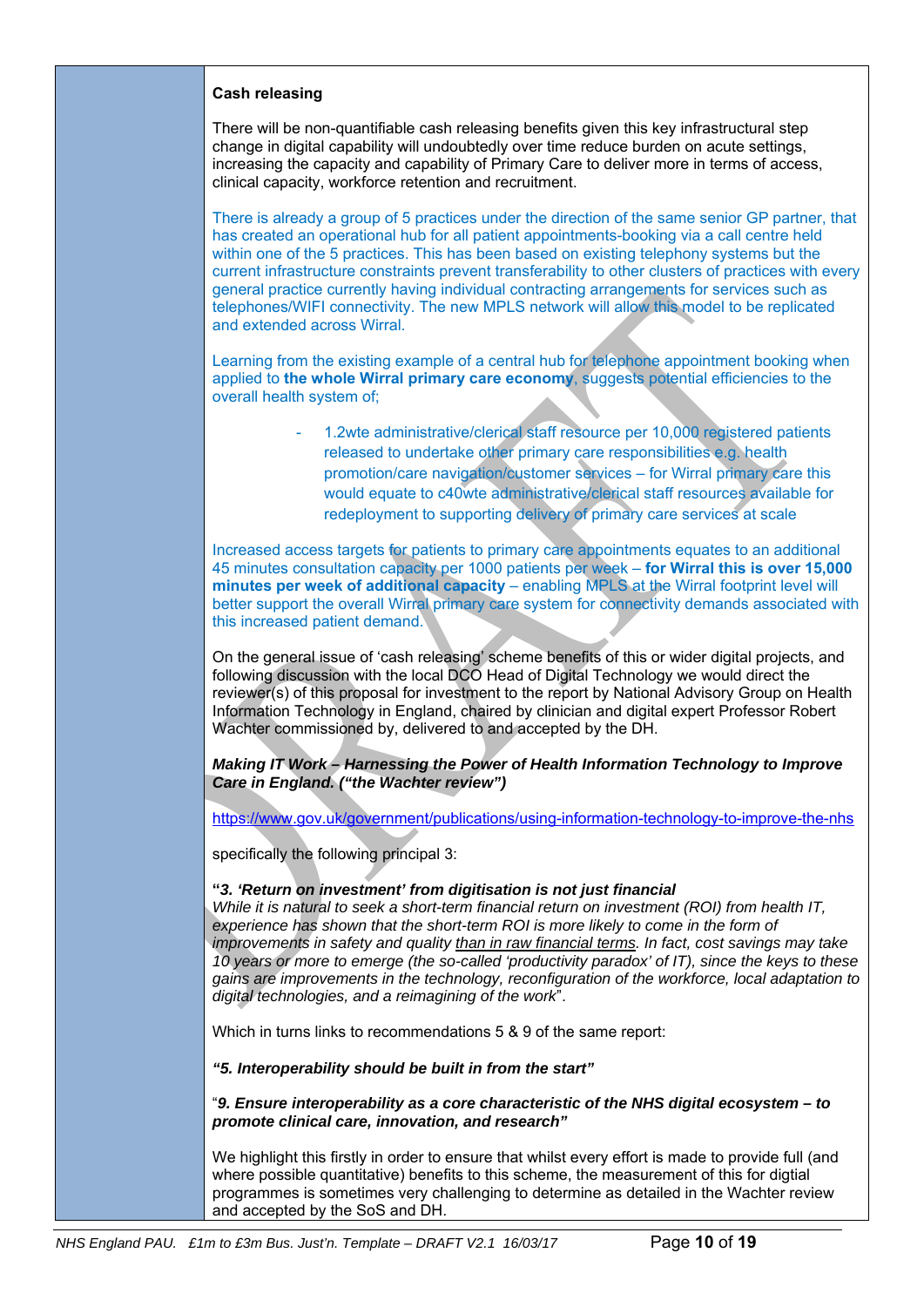### **Cash releasing**

There will be non-quantifiable cash releasing benefits given this key infrastructural step change in digital capability will undoubtedly over time reduce burden on acute settings, increasing the capacity and capability of Primary Care to deliver more in terms of access, clinical capacity, workforce retention and recruitment.

There is already a group of 5 practices under the direction of the same senior GP partner, that has created an operational hub for all patient appointments-booking via a call centre held within one of the 5 practices. This has been based on existing telephony systems but the current infrastructure constraints prevent transferability to other clusters of practices with every general practice currently having individual contracting arrangements for services such as telephones/WIFI connectivity. The new MPLS network will allow this model to be replicated and extended across Wirral.

Learning from the existing example of a central hub for telephone appointment booking when applied to **the whole Wirral primary care economy**, suggests potential efficiencies to the overall health system of;

> - 1.2wte administrative/clerical staff resource per 10,000 registered patients released to undertake other primary care responsibilities e.g. health promotion/care navigation/customer services – for Wirral primary care this would equate to c40wte administrative/clerical staff resources available for redeployment to supporting delivery of primary care services at scale

Increased access targets for patients to primary care appointments equates to an additional 45 minutes consultation capacity per 1000 patients per week – **for Wirral this is over 15,000 minutes per week of additional capacity** – enabling MPLS at the Wirral footprint level will better support the overall Wirral primary care system for connectivity demands associated with this increased patient demand.

On the general issue of 'cash releasing' scheme benefits of this or wider digital projects, and following discussion with the local DCO Head of Digital Technology we would direct the reviewer(s) of this proposal for investment to the report by National Advisory Group on Health Information Technology in England, chaired by clinician and digital expert Professor Robert Wachter commissioned by, delivered to and accepted by the DH.

*Making IT Work – Harnessing the Power of Health Information Technology to Improve Care in England. ("the Wachter review")*

https://www.gov.uk/government/publications/using-information-technology-to-improve-the-nhs

specifically the following principal 3:

### **"***3. 'Return on investment' from digitisation is not just financial*

*While it is natural to seek a short-term financial return on investment (ROI) from health IT,*  experience has shown that the short-term ROI is more likely to come in the form of *improvements in safety and quality than in raw financial terms. In fact, cost savings may take 10 years or more to emerge (the so-called 'productivity paradox' of IT), since the keys to these gains are improvements in the technology, reconfiguration of the workforce, local adaptation to digital technologies, and a reimagining of the work*".

Which in turns links to recommendations 5 & 9 of the same report:

*"5. Interoperability should be built in from the start"* 

"*9. Ensure interoperability as a core characteristic of the NHS digital ecosystem – to promote clinical care, innovation, and research"* 

We highlight this firstly in order to ensure that whilst every effort is made to provide full (and where possible quantitative) benefits to this scheme, the measurement of this for digtial programmes is sometimes very challenging to determine as detailed in the Wachter review and accepted by the SoS and DH.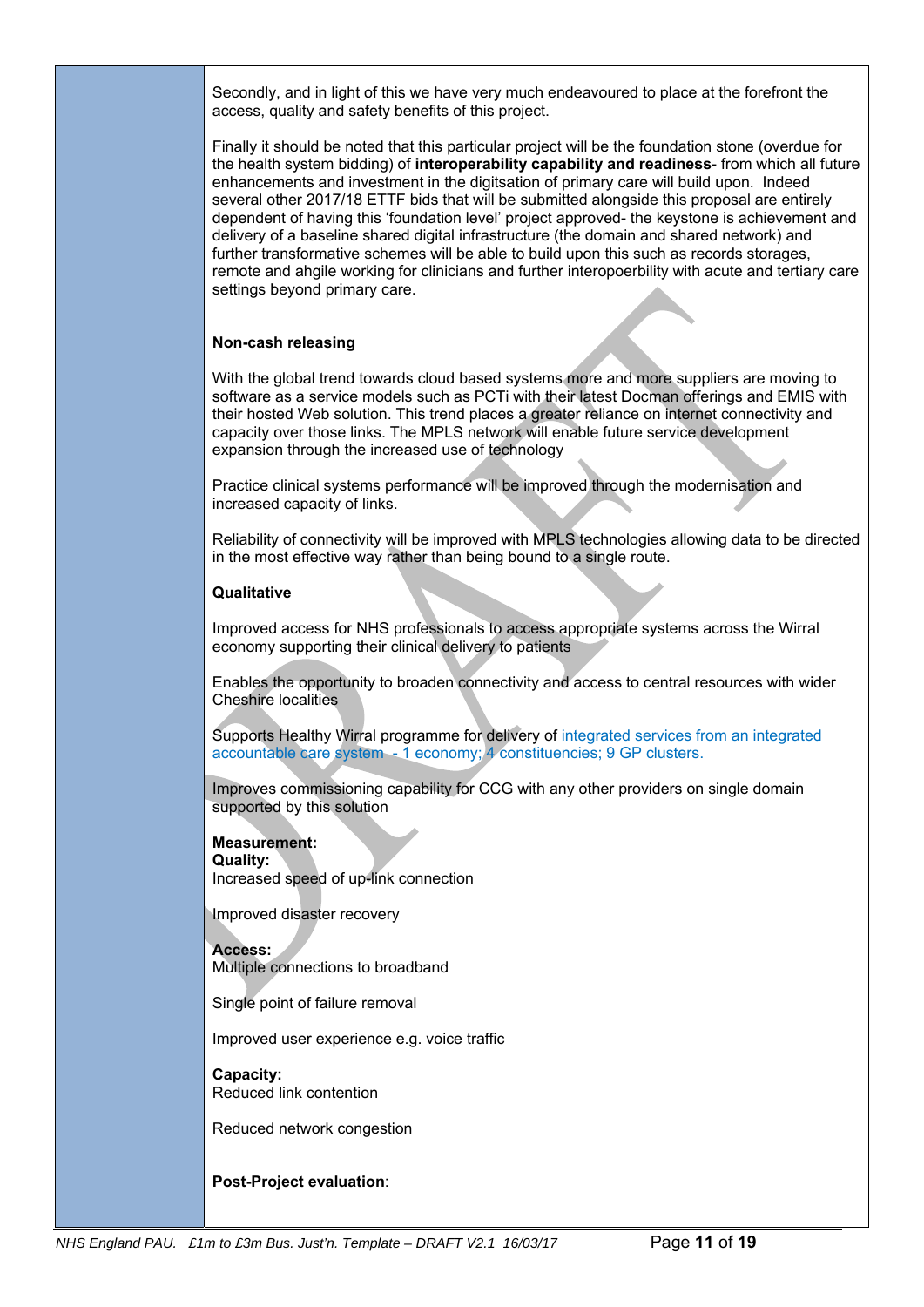Secondly, and in light of this we have very much endeavoured to place at the forefront the access, quality and safety benefits of this project.

Finally it should be noted that this particular project will be the foundation stone (overdue for the health system bidding) of **interoperability capability and readiness**- from which all future enhancements and investment in the digitsation of primary care will build upon. Indeed several other 2017/18 ETTF bids that will be submitted alongside this proposal are entirely dependent of having this 'foundation level' project approved- the keystone is achievement and delivery of a baseline shared digital infrastructure (the domain and shared network) and further transformative schemes will be able to build upon this such as records storages, remote and ahgile working for clinicians and further interopoerbility with acute and tertiary care settings beyond primary care.

# **Non-cash releasing**

With the global trend towards cloud based systems more and more suppliers are moving to software as a service models such as PCTi with their latest Docman offerings and EMIS with their hosted Web solution. This trend places a greater reliance on internet connectivity and capacity over those links. The MPLS network will enable future service development expansion through the increased use of technology

Practice clinical systems performance will be improved through the modernisation and increased capacity of links.

Reliability of connectivity will be improved with MPLS technologies allowing data to be directed in the most effective way rather than being bound to a single route.

# **Qualitative**

Improved access for NHS professionals to access appropriate systems across the Wirral economy supporting their clinical delivery to patients

Enables the opportunity to broaden connectivity and access to central resources with wider Cheshire localities

Supports Healthy Wirral programme for delivery of integrated services from an integrated accountable care system - 1 economy; 4 constituencies; 9 GP clusters.

Improves commissioning capability for CCG with any other providers on single domain supported by this solution

**Measurement: Quality:**  Increased speed of up-link connection

Improved disaster recovery

**Access:**  Multiple connections to broadband

Single point of failure removal

Improved user experience e.g. voice traffic

**Capacity:**  Reduced link contention

Reduced network congestion

### **Post-Project evaluation**: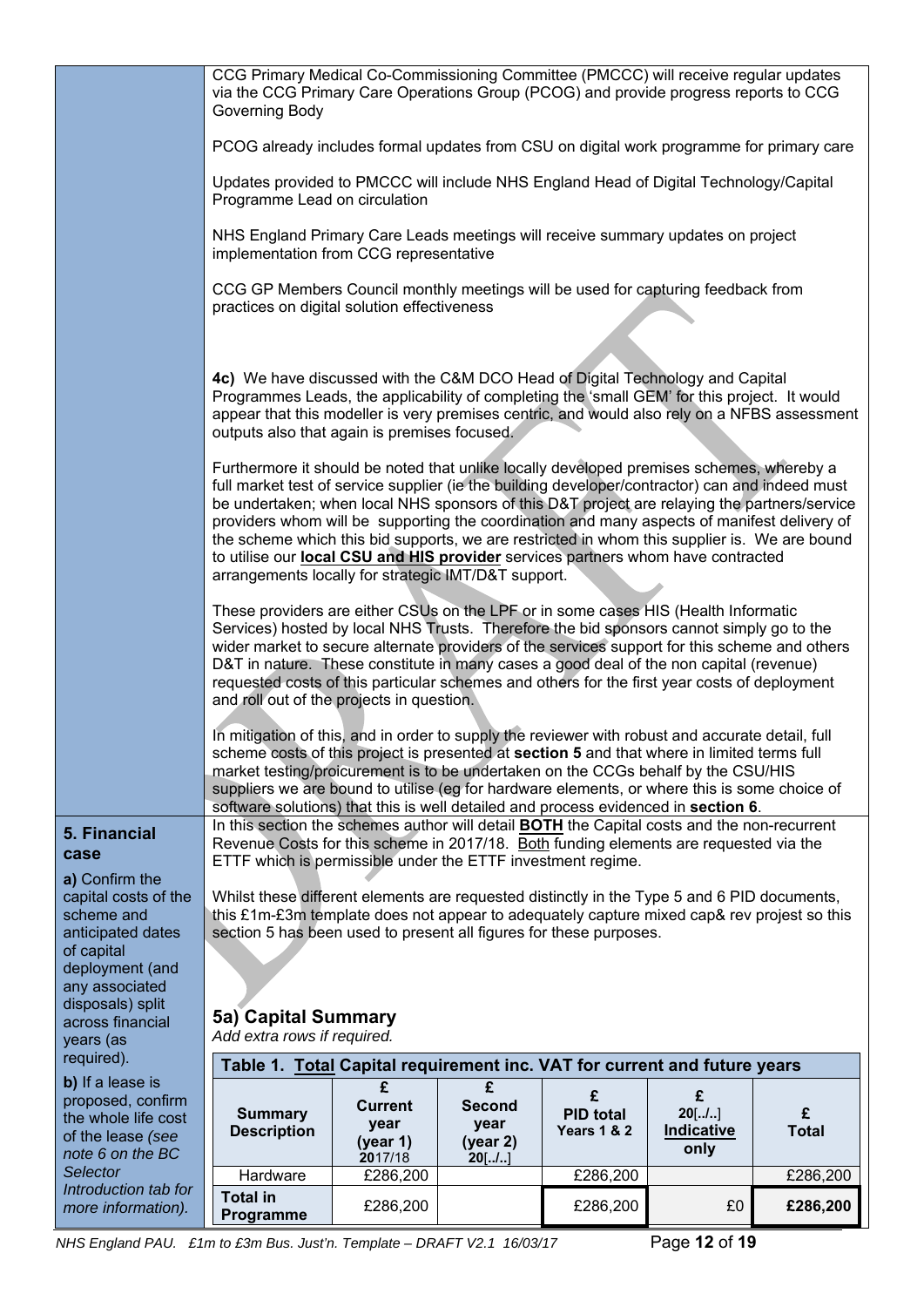|                                                                                   | CCG Primary Medical Co-Commissioning Committee (PMCCC) will receive regular updates<br>via the CCG Primary Care Operations Group (PCOG) and provide progress reports to CCG<br>Governing Body                                                                                                                                                                                                                                                                                                                                                                                                                                         |                                               |                                               |                                                 |                                            |                   |  |  |  |
|-----------------------------------------------------------------------------------|---------------------------------------------------------------------------------------------------------------------------------------------------------------------------------------------------------------------------------------------------------------------------------------------------------------------------------------------------------------------------------------------------------------------------------------------------------------------------------------------------------------------------------------------------------------------------------------------------------------------------------------|-----------------------------------------------|-----------------------------------------------|-------------------------------------------------|--------------------------------------------|-------------------|--|--|--|
|                                                                                   | PCOG already includes formal updates from CSU on digital work programme for primary care                                                                                                                                                                                                                                                                                                                                                                                                                                                                                                                                              |                                               |                                               |                                                 |                                            |                   |  |  |  |
|                                                                                   | Updates provided to PMCCC will include NHS England Head of Digital Technology/Capital<br>Programme Lead on circulation                                                                                                                                                                                                                                                                                                                                                                                                                                                                                                                |                                               |                                               |                                                 |                                            |                   |  |  |  |
|                                                                                   | NHS England Primary Care Leads meetings will receive summary updates on project<br>implementation from CCG representative                                                                                                                                                                                                                                                                                                                                                                                                                                                                                                             |                                               |                                               |                                                 |                                            |                   |  |  |  |
|                                                                                   | CCG GP Members Council monthly meetings will be used for capturing feedback from<br>practices on digital solution effectiveness                                                                                                                                                                                                                                                                                                                                                                                                                                                                                                       |                                               |                                               |                                                 |                                            |                   |  |  |  |
|                                                                                   |                                                                                                                                                                                                                                                                                                                                                                                                                                                                                                                                                                                                                                       |                                               |                                               |                                                 |                                            |                   |  |  |  |
|                                                                                   | 4c) We have discussed with the C&M DCO Head of Digital Technology and Capital<br>Programmes Leads, the applicability of completing the 'small GEM' for this project. It would<br>appear that this modeller is very premises centric, and would also rely on a NFBS assessment<br>outputs also that again is premises focused.                                                                                                                                                                                                                                                                                                         |                                               |                                               |                                                 |                                            |                   |  |  |  |
|                                                                                   | Furthermore it should be noted that unlike locally developed premises schemes, whereby a<br>full market test of service supplier (ie the building developer/contractor) can and indeed must<br>be undertaken; when local NHS sponsors of this D&T project are relaying the partners/service<br>providers whom will be supporting the coordination and many aspects of manifest delivery of<br>the scheme which this bid supports, we are restricted in whom this supplier is. We are bound<br>to utilise our local CSU and HIS provider services partners whom have contracted<br>arrangements locally for strategic IMT/D&T support. |                                               |                                               |                                                 |                                            |                   |  |  |  |
|                                                                                   | These providers are either CSUs on the LPF or in some cases HIS (Health Informatic<br>Services) hosted by local NHS Trusts. Therefore the bid sponsors cannot simply go to the<br>wider market to secure alternate providers of the services support for this scheme and others<br>D&T in nature. These constitute in many cases a good deal of the non capital (revenue)<br>requested costs of this particular schemes and others for the first year costs of deployment<br>and roll out of the projects in question.                                                                                                                |                                               |                                               |                                                 |                                            |                   |  |  |  |
|                                                                                   | In mitigation of this, and in order to supply the reviewer with robust and accurate detail, full<br>scheme costs of this project is presented at section 5 and that where in limited terms full<br>market testing/proicurement is to be undertaken on the CCGs behalf by the CSU/HIS<br>suppliers we are bound to utilise (eg for hardware elements, or where this is some choice of<br>software solutions) that this is well detailed and process evidenced in section 6.                                                                                                                                                            |                                               |                                               |                                                 |                                            |                   |  |  |  |
| 5. Financial                                                                      | In this section the schemes author will detail BOTH the Capital costs and the non-recurrent<br>Revenue Costs for this scheme in 2017/18. Both funding elements are requested via the                                                                                                                                                                                                                                                                                                                                                                                                                                                  |                                               |                                               |                                                 |                                            |                   |  |  |  |
| case<br>a) Confirm the                                                            | ETTF which is permissible under the ETTF investment regime.                                                                                                                                                                                                                                                                                                                                                                                                                                                                                                                                                                           |                                               |                                               |                                                 |                                            |                   |  |  |  |
| capital costs of the<br>scheme and<br>anticipated dates<br>of capital             | Whilst these different elements are requested distinctly in the Type 5 and 6 PID documents,<br>this £1m-£3m template does not appear to adequately capture mixed cap& rev projest so this<br>section 5 has been used to present all figures for these purposes.                                                                                                                                                                                                                                                                                                                                                                       |                                               |                                               |                                                 |                                            |                   |  |  |  |
| deployment (and<br>any associated                                                 |                                                                                                                                                                                                                                                                                                                                                                                                                                                                                                                                                                                                                                       |                                               |                                               |                                                 |                                            |                   |  |  |  |
| disposals) split<br>across financial                                              | 5a) Capital Summary                                                                                                                                                                                                                                                                                                                                                                                                                                                                                                                                                                                                                   |                                               |                                               |                                                 |                                            |                   |  |  |  |
| years (as<br>required).                                                           | Add extra rows if required.                                                                                                                                                                                                                                                                                                                                                                                                                                                                                                                                                                                                           |                                               |                                               |                                                 |                                            |                   |  |  |  |
| b) If a lease is                                                                  | Table 1. Total Capital requirement inc. VAT for current and future years                                                                                                                                                                                                                                                                                                                                                                                                                                                                                                                                                              | £                                             | £                                             |                                                 |                                            |                   |  |  |  |
| proposed, confirm<br>the whole life cost<br>of the lease (see<br>note 6 on the BC | <b>Summary</b><br><b>Description</b>                                                                                                                                                                                                                                                                                                                                                                                                                                                                                                                                                                                                  | <b>Current</b><br>year<br>(year 1)<br>2017/18 | <b>Second</b><br>year<br>(year 2)<br>$20$ [/] | £<br><b>PID total</b><br><b>Years 1 &amp; 2</b> | £<br>$20$ [/]<br><b>Indicative</b><br>only | £<br><b>Total</b> |  |  |  |
| Selector<br>Introduction tab for                                                  | Hardware                                                                                                                                                                                                                                                                                                                                                                                                                                                                                                                                                                                                                              | £286,200                                      |                                               | £286,200                                        |                                            | £286,200          |  |  |  |
| more information).                                                                | <b>Total in</b><br>Programme                                                                                                                                                                                                                                                                                                                                                                                                                                                                                                                                                                                                          | £286,200                                      |                                               | £286,200                                        | £0                                         | £286,200          |  |  |  |

*NHS England PAU. £1m to £3m Bus. Just'n. Template – DRAFT V2.1 16/03/17* Page **12** of **19**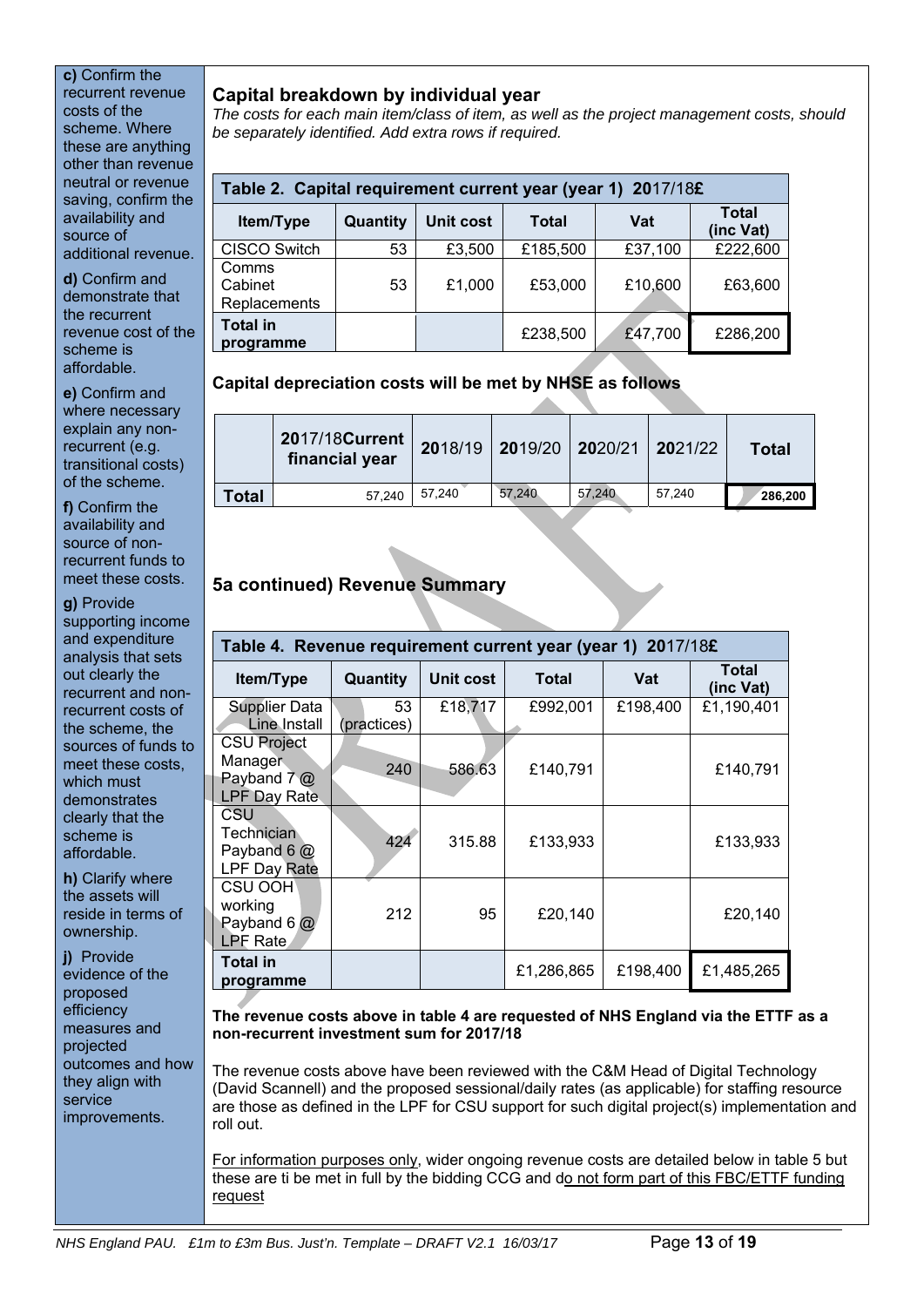# **c)** Confirm the recurrent revenue

costs of the scheme. Where these are anything other than revenue neutral or revenue saving, confirm the availability and source of additional revenue.

**d)** Confirm and demonstrate that the recurrent revenue cost of the scheme is affordable.

**e)** Confirm and where necessary explain any nonrecurrent (e.g. transitional costs) of the scheme.

**f)** Confirm the availability and source of nonrecurrent funds to meet these costs.

**g)** Provide supporting income and expenditure analysis that sets out clearly the recurrent and nonrecurrent costs of the scheme, the sources of funds to meet these costs, which must demonstrates clearly that the scheme is affordable.

**h)** Clarify where the assets will reside in terms of ownership.

**j)** Provide evidence of the proposed efficiency measures and projected outcomes and how they align with service improvements.

# **Capital breakdown by individual year**

*The costs for each main item/class of item, as well as the project management costs, should be separately identified. Add extra rows if required.* 

| Table 2. Capital requirement current year (year 1) 2017/18£ |                                       |        |          |         |                           |  |  |  |  |
|-------------------------------------------------------------|---------------------------------------|--------|----------|---------|---------------------------|--|--|--|--|
| Item/Type                                                   | Unit cost<br>Quantity<br><b>Total</b> |        |          |         | <b>Total</b><br>(inc Vat) |  |  |  |  |
| CISCO Switch                                                | 53                                    | £3,500 | £185,500 | £37,100 | £222,600                  |  |  |  |  |
| Comms<br>Cabinet<br>Replacements                            | 53                                    | £1,000 | £53,000  | £10,600 | £63,600                   |  |  |  |  |
| <b>Total in</b><br>programme                                |                                       |        | £238,500 | £47,700 | £286,200                  |  |  |  |  |

# **Capital depreciation costs will be met by NHSE as follows**

|       | 2017/18 Current<br>financial year |        | 2018/19 2019/20 2020/21 2021/22 |        |        | <b>Total</b> |
|-------|-----------------------------------|--------|---------------------------------|--------|--------|--------------|
| Total | 57.240                            | 57.240 | 57.240                          | 57.240 | 57.240 | 286,200      |

# **5a continued) Revenue Summary**

|                                                                      | Table 4. Revenue requirement current year (year 1) 2017/18£ |           |            |          |                    |  |  |  |  |  |
|----------------------------------------------------------------------|-------------------------------------------------------------|-----------|------------|----------|--------------------|--|--|--|--|--|
| Item/Type                                                            | Quantity                                                    | Unit cost | Total      | Vat      | Total<br>(inc Vat) |  |  |  |  |  |
| <b>Supplier Data</b><br>Line Install                                 | 53<br>(practices)                                           | £18,717   | £992,001   | £198,400 | £1,190,401         |  |  |  |  |  |
| <b>CSU Project</b><br>Manager<br>Payband $7@$<br><b>LPF Day Rate</b> | 240                                                         | 586.63    | £140,791   |          | £140,791           |  |  |  |  |  |
| CSU<br>Technician<br>Payband 6 $@$<br>LPF Day Rate                   | 424                                                         | 315.88    | £133,933   |          | £133,933           |  |  |  |  |  |
| CSU OOH<br>working<br>Payband 6 $@$<br>LPF Rate                      | 212                                                         | 95        | £20,140    |          | £20,140            |  |  |  |  |  |
| Total in<br>programme                                                |                                                             |           | £1,286,865 | £198,400 | £1,485,265         |  |  |  |  |  |

# **The revenue costs above in table 4 are requested of NHS England via the ETTF as a non-recurrent investment sum for 2017/18**

The revenue costs above have been reviewed with the C&M Head of Digital Technology (David Scannell) and the proposed sessional/daily rates (as applicable) for staffing resource are those as defined in the LPF for CSU support for such digital project(s) implementation and roll out.

For information purposes only, wider ongoing revenue costs are detailed below in table 5 but these are ti be met in full by the bidding CCG and do not form part of this FBC/ETTF funding request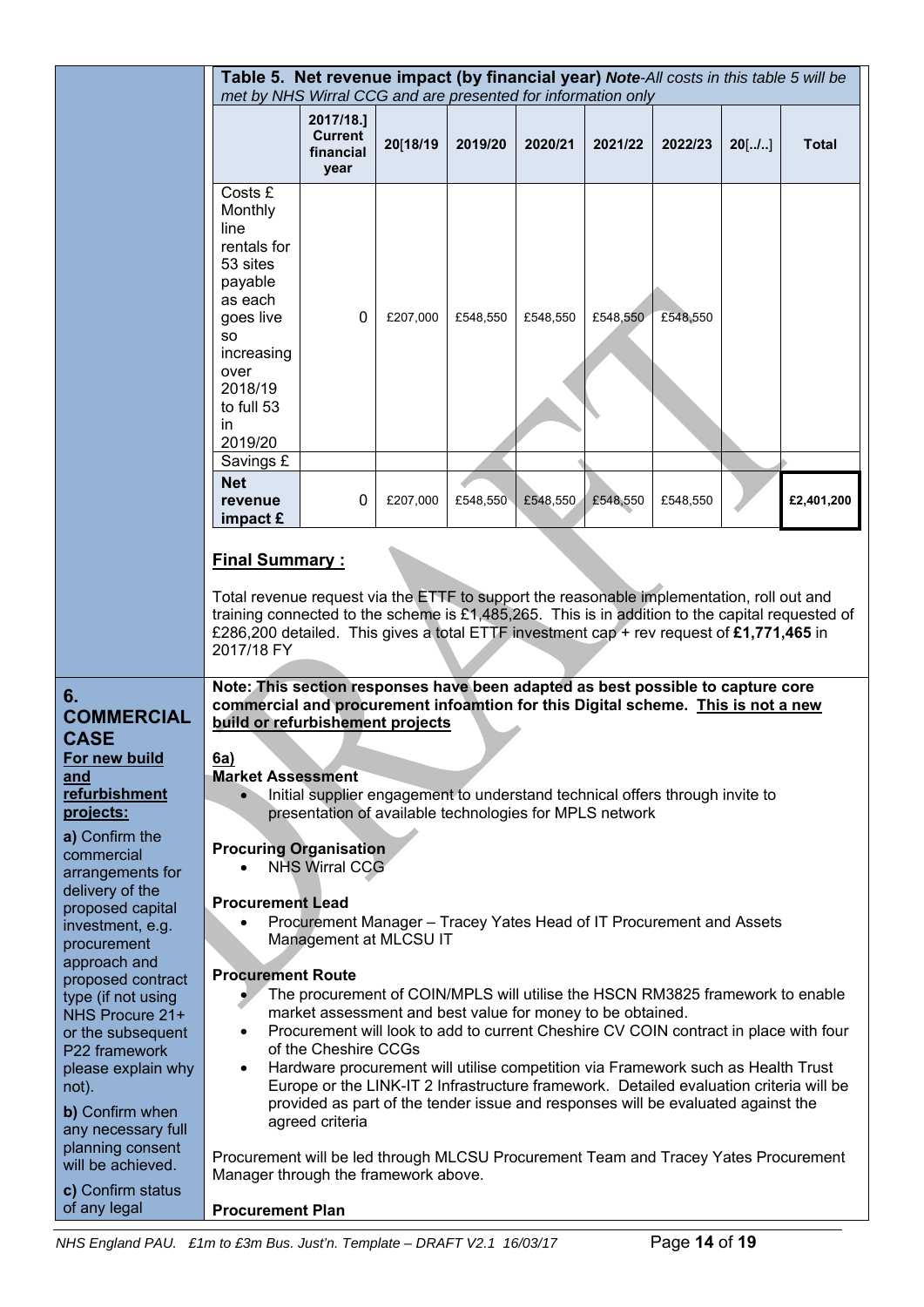|                                                                                                                                                    | Table 5. Net revenue impact (by financial year) Note-All costs in this table 5 will be<br>met by NHS Wirral CCG and are presented for information only                                                                                                                                                                                                                                                                                                                                                                                                         |                                                                                                                                         |          |          |          |          |          |          |            |
|----------------------------------------------------------------------------------------------------------------------------------------------------|----------------------------------------------------------------------------------------------------------------------------------------------------------------------------------------------------------------------------------------------------------------------------------------------------------------------------------------------------------------------------------------------------------------------------------------------------------------------------------------------------------------------------------------------------------------|-----------------------------------------------------------------------------------------------------------------------------------------|----------|----------|----------|----------|----------|----------|------------|
|                                                                                                                                                    |                                                                                                                                                                                                                                                                                                                                                                                                                                                                                                                                                                | 2017/18.]<br><b>Current</b><br>financial<br>year                                                                                        | 20[18/19 | 2019/20  | 2020/21  | 2021/22  | 2022/23  | $20$ [/] | Total      |
|                                                                                                                                                    | Costs £<br>Monthly<br>line<br>rentals for<br>53 sites<br>payable<br>as each<br>goes live<br><b>SO</b><br>increasing<br>over<br>2018/19<br>to full 53<br>in.<br>2019/20                                                                                                                                                                                                                                                                                                                                                                                         | 0                                                                                                                                       | £207,000 | £548,550 | £548,550 | £548,550 | £548,550 |          |            |
|                                                                                                                                                    | Savings £<br><b>Net</b><br>revenue<br>impact $\boldsymbol{\epsilon}$                                                                                                                                                                                                                                                                                                                                                                                                                                                                                           | 0                                                                                                                                       | £207,000 | £548,550 | £548,550 | £548,550 | £548,550 |          | £2,401,200 |
|                                                                                                                                                    | <b>Final Summary:</b><br>Total revenue request via the ETTF to support the reasonable implementation, roll out and<br>training connected to the scheme is £1,485,265. This is in addition to the capital requested of<br>£286,200 detailed. This gives a total ETTF investment cap + rev request of £1,771,465 in<br>2017/18 FY                                                                                                                                                                                                                                |                                                                                                                                         |          |          |          |          |          |          |            |
| 6.<br><b>COMMERCIAL</b><br><b>CASE</b><br>For new build<br>and<br>refurbishment<br>projects:                                                       | Note: This section responses have been adapted as best possible to capture core<br>commercial and procurement infoamtion for this Digital scheme. This is not a new<br>build or refurbishement projects<br>6a)<br><b>Market Assessment</b>                                                                                                                                                                                                                                                                                                                     | Initial supplier engagement to understand technical offers through invite to<br>presentation of available technologies for MPLS network |          |          |          |          |          |          |            |
| a) Confirm the<br>commercial<br>arrangements for<br>delivery of the<br>proposed capital<br>investment, e.g.<br>procurement<br>approach and         | <b>Procuring Organisation</b><br><b>NHS Wirral CCG</b><br><b>Procurement Lead</b><br>Procurement Manager - Tracey Yates Head of IT Procurement and Assets<br>Management at MLCSU IT                                                                                                                                                                                                                                                                                                                                                                            |                                                                                                                                         |          |          |          |          |          |          |            |
| proposed contract<br>type (if not using<br>NHS Procure 21+<br>or the subsequent<br>P22 framework<br>please explain why<br>not).<br>b) Confirm when | <b>Procurement Route</b><br>The procurement of COIN/MPLS will utilise the HSCN RM3825 framework to enable<br>market assessment and best value for money to be obtained.<br>Procurement will look to add to current Cheshire CV COIN contract in place with four<br>of the Cheshire CCGs<br>Hardware procurement will utilise competition via Framework such as Health Trust<br>٠<br>Europe or the LINK-IT 2 Infrastructure framework. Detailed evaluation criteria will be<br>provided as part of the tender issue and responses will be evaluated against the |                                                                                                                                         |          |          |          |          |          |          |            |
| any necessary full<br>planning consent<br>will be achieved.<br>c) Confirm status<br>of any legal                                                   | Procurement will be led through MLCSU Procurement Team and Tracey Yates Procurement<br>Manager through the framework above.<br><b>Procurement Plan</b>                                                                                                                                                                                                                                                                                                                                                                                                         | agreed criteria                                                                                                                         |          |          |          |          |          |          |            |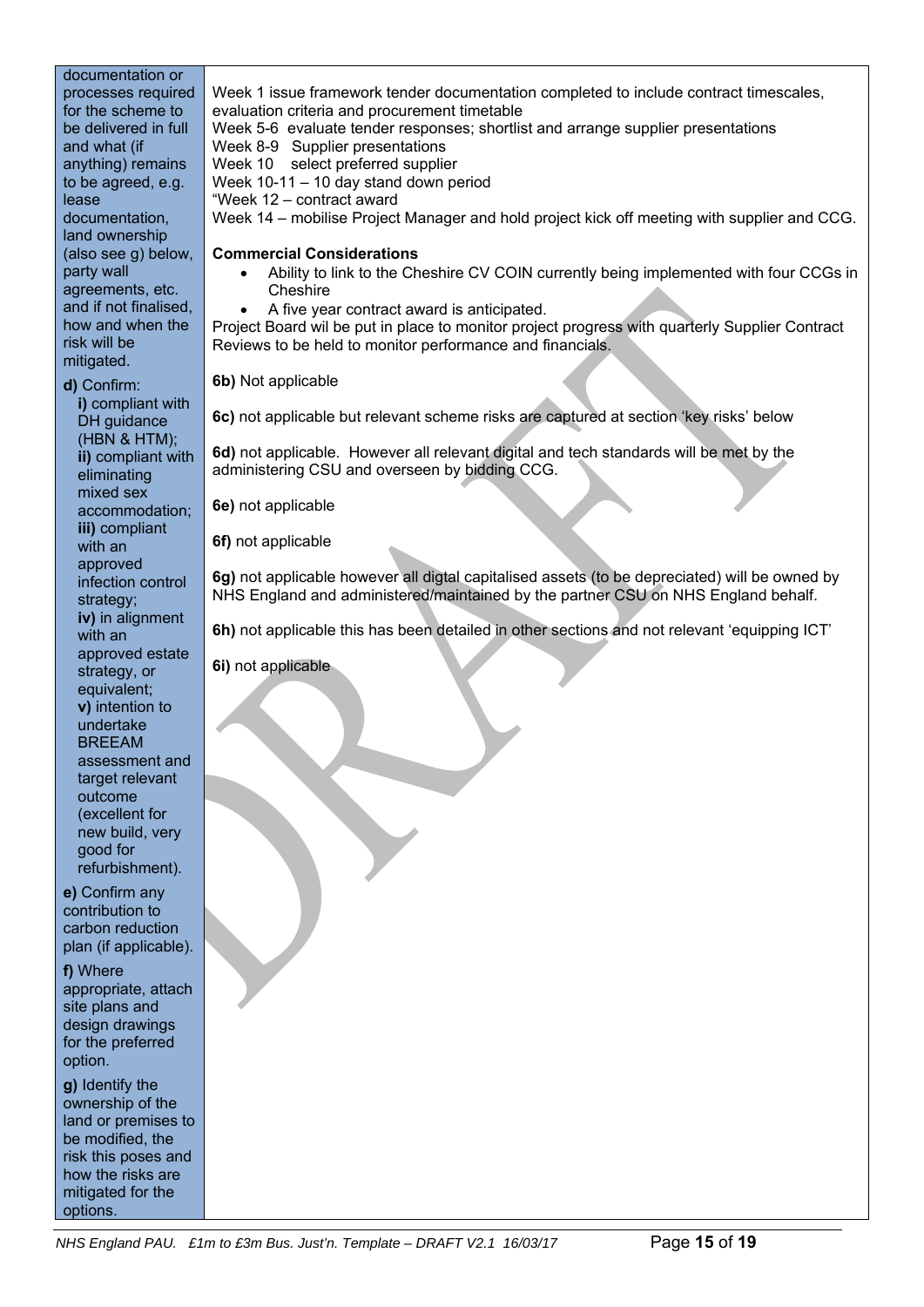documentation or processes required for the scheme to be delivered in full and what (if anything) remains to be agreed, e.g. lease documentation, land ownership (also see g) below, party wall agreements, etc. and if not finalised, how and when the risk will be mitigated.

**d)** Confirm: **i)** compliant with DH guidance (HBN & HTM); **ii)** compliant with eliminating mixed sex accommodation; **iii)** compliant with an approved infection control strategy; **iv)** in alignment with an approved estate strategy, or equivalent; **v)** intention to undertake **BRFFAM** assessment and target relevant outcome (excellent for new build, very good for refurbishment).

**e)** Confirm any contribution to carbon reduction plan (if applicable).

**f)** Where appropriate, attach site plans and design drawings for the preferred option.

**g)** Identify the ownership of the land or premises to be modified, the risk this poses and how the risks are mitigated for the options.

Week 1 issue framework tender documentation completed to include contract timescales, evaluation criteria and procurement timetable

Week 5-6 evaluate tender responses; shortlist and arrange supplier presentations

Week 8-9 Supplier presentations

Week 10 select preferred supplier

Week 10-11 – 10 day stand down period

"Week 12 – contract award

Week 14 – mobilise Project Manager and hold project kick off meeting with supplier and CCG.

# **Commercial Considerations**

- Ability to link to the Cheshire CV COIN currently being implemented with four CCGs in **Cheshire**
- A five year contract award is anticipated.

Project Board wil be put in place to monitor project progress with quarterly Supplier Contract Reviews to be held to monitor performance and financials.

**6b)** Not applicable

**6c)** not applicable but relevant scheme risks are captured at section 'key risks' below

**6d)** not applicable. However all relevant digital and tech standards will be met by the administering CSU and overseen by bidding CCG.

**6e)** not applicable

**6f)** not applicable

**6g)** not applicable however all digtal capitalised assets (to be depreciated) will be owned by NHS England and administered/maintained by the partner CSU on NHS England behalf.

**6h)** not applicable this has been detailed in other sections and not relevant 'equipping ICT'

**6i)** not applicable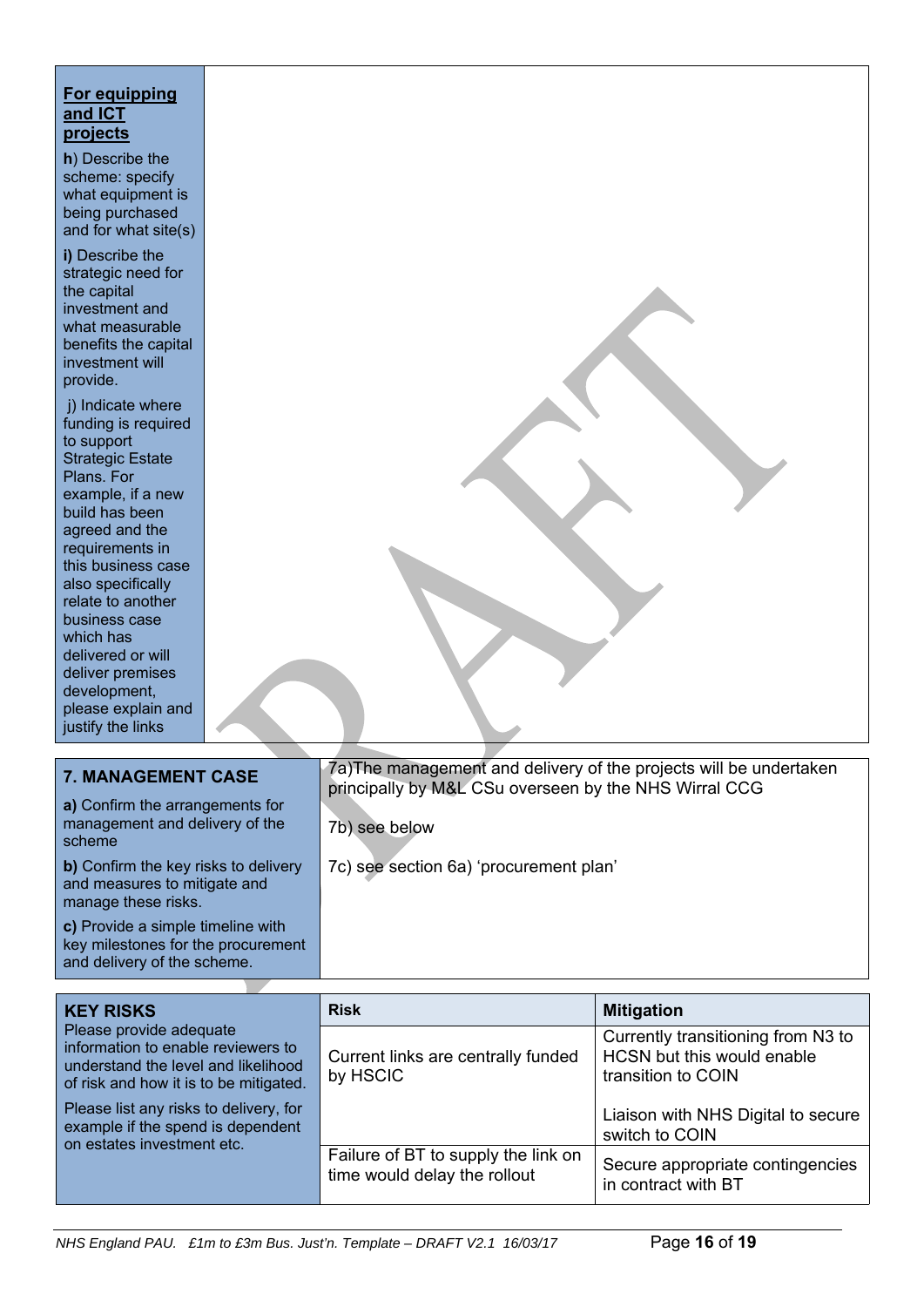# **For equipping and ICT projects**

**h**) Describe the scheme: specify what equipment is being purchased and for what site(s)

**i)** Describe the strategic need for the capital investment and what measurable benefits the capital investment will provide.

j) Indicate where funding is required to support Strategic Estate Plans. For example, if a new build has been agreed and the requirements in this business case also specifically relate to another business case which has delivered or will deliver premises development, please explain and justify the links

| <b>7. MANAGEMENT CASE</b><br>a) Confirm the arrangements for                                           | 7a) The management and delivery of the projects will be undertaken<br>principally by M&L CSu overseen by the NHS Wirral CCG |
|--------------------------------------------------------------------------------------------------------|-----------------------------------------------------------------------------------------------------------------------------|
| management and delivery of the<br>scheme                                                               | 7b) see below                                                                                                               |
| b) Confirm the key risks to delivery<br>and measures to mitigate and<br>manage these risks.            | 7c) see section 6a) 'procurement plan'                                                                                      |
| c) Provide a simple timeline with<br>key milestones for the procurement<br>and delivery of the scheme. |                                                                                                                             |

| <b>KEY RISKS</b>                                                                                                                               | <b>Risk</b>                                                         | <b>Mitigation</b>                                                                      |
|------------------------------------------------------------------------------------------------------------------------------------------------|---------------------------------------------------------------------|----------------------------------------------------------------------------------------|
| Please provide adequate<br>information to enable reviewers to<br>understand the level and likelihood<br>of risk and how it is to be mitigated. | Current links are centrally funded<br>by HSCIC                      | Currently transitioning from N3 to<br>HCSN but this would enable<br>transition to COIN |
| Please list any risks to delivery, for<br>example if the spend is dependent<br>on estates investment etc.                                      |                                                                     | Liaison with NHS Digital to secure<br>switch to COIN                                   |
|                                                                                                                                                | Failure of BT to supply the link on<br>time would delay the rollout | Secure appropriate contingencies<br>in contract with BT                                |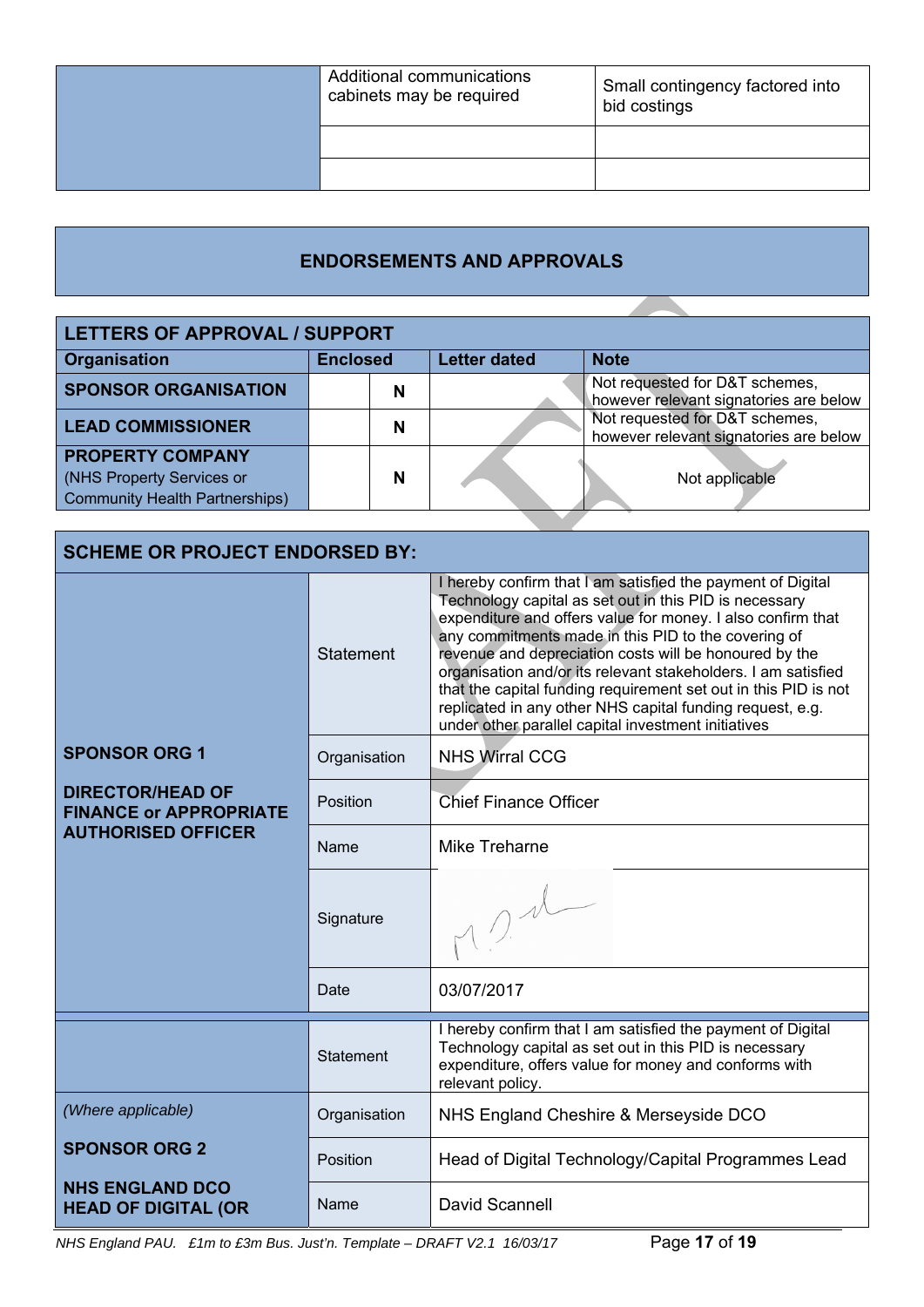| Additional communications<br>cabinets may be required | Small contingency factored into<br>bid costings |
|-------------------------------------------------------|-------------------------------------------------|
|                                                       |                                                 |
|                                                       |                                                 |

# **ENDORSEMENTS AND APPROVALS**

| <b>LETTERS OF APPROVAL / SUPPORT</b>                                                          |                 |                     |                                                                          |
|-----------------------------------------------------------------------------------------------|-----------------|---------------------|--------------------------------------------------------------------------|
| <b>Organisation</b>                                                                           | <b>Enclosed</b> | <b>Letter dated</b> | <b>Note</b>                                                              |
| <b>SPONSOR ORGANISATION</b>                                                                   | N               |                     | Not requested for D&T schemes,<br>however relevant signatories are below |
| <b>LEAD COMMISSIONER</b>                                                                      | N               |                     | Not requested for D&T schemes,<br>however relevant signatories are below |
| <b>PROPERTY COMPANY</b><br>(NHS Property Services or<br><b>Community Health Partnerships)</b> | N               |                     | Not applicable                                                           |
|                                                                                               |                 |                     |                                                                          |

| <b>SCHEME OR PROJECT ENDORSED BY:</b>                                                                         |                  |                                                                                                                                                                                                                                                                                                                                                                                                                                                                                                                                                               |
|---------------------------------------------------------------------------------------------------------------|------------------|---------------------------------------------------------------------------------------------------------------------------------------------------------------------------------------------------------------------------------------------------------------------------------------------------------------------------------------------------------------------------------------------------------------------------------------------------------------------------------------------------------------------------------------------------------------|
|                                                                                                               | <b>Statement</b> | I hereby confirm that I am satisfied the payment of Digital<br>Technology capital as set out in this PID is necessary<br>expenditure and offers value for money. I also confirm that<br>any commitments made in this PID to the covering of<br>revenue and depreciation costs will be honoured by the<br>organisation and/or its relevant stakeholders. I am satisfied<br>that the capital funding requirement set out in this PID is not<br>replicated in any other NHS capital funding request, e.g.<br>under other parallel capital investment initiatives |
| <b>SPONSOR ORG 1</b><br><b>DIRECTOR/HEAD OF</b><br><b>FINANCE or APPROPRIATE</b><br><b>AUTHORISED OFFICER</b> | Organisation     | <b>NHS Wirral CCG</b>                                                                                                                                                                                                                                                                                                                                                                                                                                                                                                                                         |
|                                                                                                               | Position         | <b>Chief Finance Officer</b>                                                                                                                                                                                                                                                                                                                                                                                                                                                                                                                                  |
|                                                                                                               | Name             | <b>Mike Treharne</b>                                                                                                                                                                                                                                                                                                                                                                                                                                                                                                                                          |
|                                                                                                               | Signature        | $\bigcap_{\Lambda}$                                                                                                                                                                                                                                                                                                                                                                                                                                                                                                                                           |
|                                                                                                               | Date             | 03/07/2017                                                                                                                                                                                                                                                                                                                                                                                                                                                                                                                                                    |
|                                                                                                               | <b>Statement</b> | I hereby confirm that I am satisfied the payment of Digital<br>Technology capital as set out in this PID is necessary<br>expenditure, offers value for money and conforms with<br>relevant policy.                                                                                                                                                                                                                                                                                                                                                            |
| (Where applicable)                                                                                            | Organisation     | NHS England Cheshire & Merseyside DCO                                                                                                                                                                                                                                                                                                                                                                                                                                                                                                                         |
| <b>SPONSOR ORG 2</b>                                                                                          | Position         | Head of Digital Technology/Capital Programmes Lead                                                                                                                                                                                                                                                                                                                                                                                                                                                                                                            |
| <b>NHS ENGLAND DCO</b><br><b>HEAD OF DIGITAL (OR</b>                                                          | Name             | <b>David Scannell</b>                                                                                                                                                                                                                                                                                                                                                                                                                                                                                                                                         |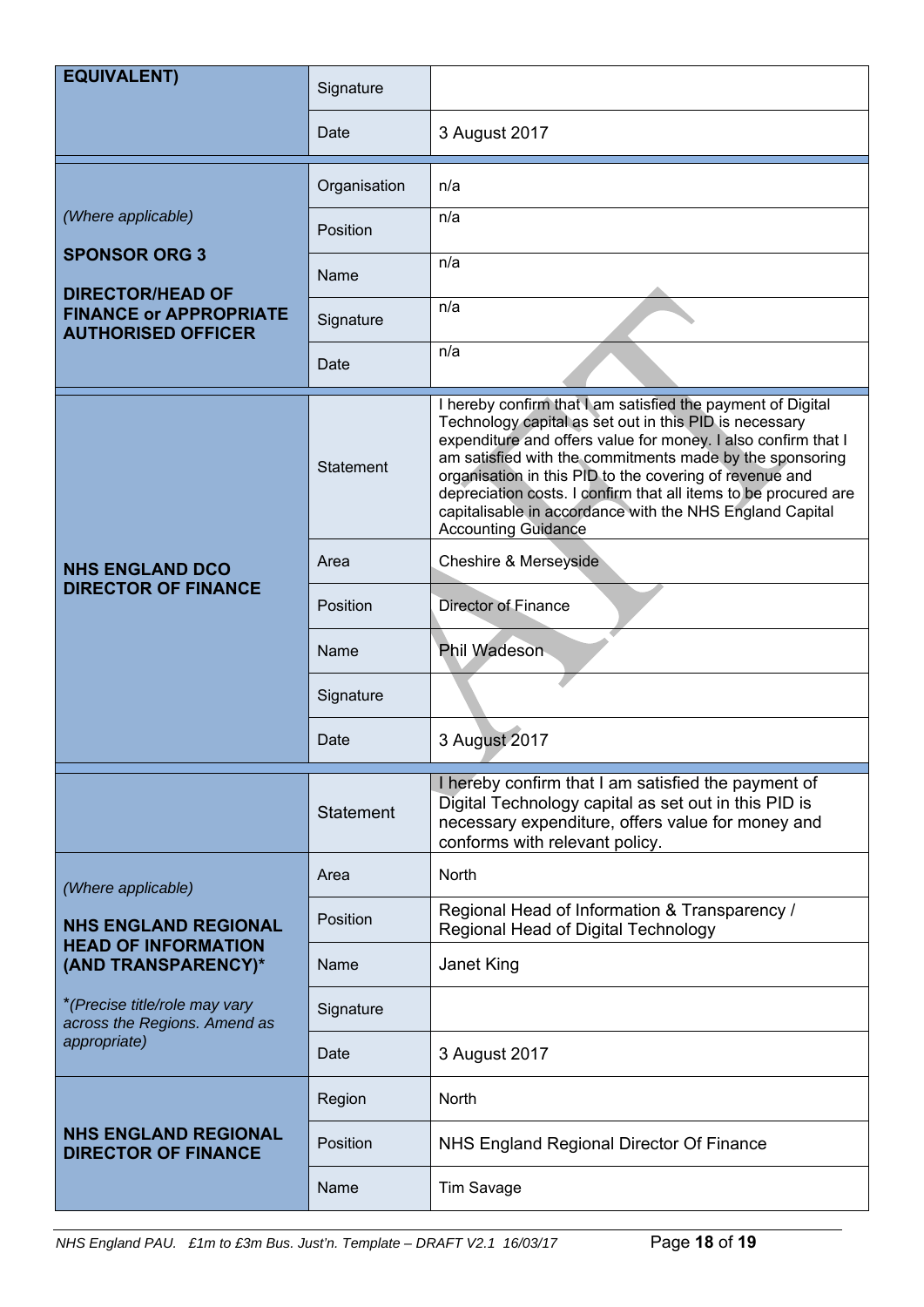| <b>EQUIVALENT)</b>                                                                                                                                                | Signature                                     |                                                                                                                                                                                                                                                                                                                                                                                                                                                                            |
|-------------------------------------------------------------------------------------------------------------------------------------------------------------------|-----------------------------------------------|----------------------------------------------------------------------------------------------------------------------------------------------------------------------------------------------------------------------------------------------------------------------------------------------------------------------------------------------------------------------------------------------------------------------------------------------------------------------------|
|                                                                                                                                                                   | Date                                          | 3 August 2017                                                                                                                                                                                                                                                                                                                                                                                                                                                              |
| (Where applicable)<br><b>SPONSOR ORG 3</b><br><b>DIRECTOR/HEAD OF</b><br><b>FINANCE or APPROPRIATE</b><br><b>AUTHORISED OFFICER</b>                               | Organisation<br>Position<br>Name<br>Signature | n/a<br>n/a<br>n/a<br>n/a<br>n/a                                                                                                                                                                                                                                                                                                                                                                                                                                            |
|                                                                                                                                                                   | Date                                          |                                                                                                                                                                                                                                                                                                                                                                                                                                                                            |
| <b>NHS ENGLAND DCO</b><br><b>DIRECTOR OF FINANCE</b>                                                                                                              | <b>Statement</b>                              | I hereby confirm that I am satisfied the payment of Digital<br>Technology capital as set out in this PID is necessary<br>expenditure and offers value for money. I also confirm that I<br>am satisfied with the commitments made by the sponsoring<br>organisation in this PID to the covering of revenue and<br>depreciation costs. I confirm that all items to be procured are<br>capitalisable in accordance with the NHS England Capital<br><b>Accounting Guidance</b> |
|                                                                                                                                                                   | Area                                          | Cheshire & Merseyside                                                                                                                                                                                                                                                                                                                                                                                                                                                      |
|                                                                                                                                                                   | Position                                      | <b>Director of Finance</b>                                                                                                                                                                                                                                                                                                                                                                                                                                                 |
|                                                                                                                                                                   | Name                                          | Phil Wadeson                                                                                                                                                                                                                                                                                                                                                                                                                                                               |
|                                                                                                                                                                   | Signature                                     |                                                                                                                                                                                                                                                                                                                                                                                                                                                                            |
|                                                                                                                                                                   | Date                                          | 3 August 2017                                                                                                                                                                                                                                                                                                                                                                                                                                                              |
|                                                                                                                                                                   | Statement                                     | I hereby confirm that I am satisfied the payment of<br>Digital Technology capital as set out in this PID is<br>necessary expenditure, offers value for money and<br>conforms with relevant policy.                                                                                                                                                                                                                                                                         |
| (Where applicable)                                                                                                                                                | Area                                          | <b>North</b>                                                                                                                                                                                                                                                                                                                                                                                                                                                               |
| <b>NHS ENGLAND REGIONAL</b><br><b>HEAD OF INFORMATION</b><br>(AND TRANSPARENCY)*<br>*(Precise title/role may vary<br>across the Regions. Amend as<br>appropriate) | Position                                      | Regional Head of Information & Transparency /<br>Regional Head of Digital Technology                                                                                                                                                                                                                                                                                                                                                                                       |
|                                                                                                                                                                   | Name                                          | Janet King                                                                                                                                                                                                                                                                                                                                                                                                                                                                 |
|                                                                                                                                                                   | Signature                                     |                                                                                                                                                                                                                                                                                                                                                                                                                                                                            |
|                                                                                                                                                                   | Date                                          | 3 August 2017                                                                                                                                                                                                                                                                                                                                                                                                                                                              |
| <b>NHS ENGLAND REGIONAL</b><br><b>DIRECTOR OF FINANCE</b>                                                                                                         | Region                                        | <b>North</b>                                                                                                                                                                                                                                                                                                                                                                                                                                                               |
|                                                                                                                                                                   | Position                                      | NHS England Regional Director Of Finance                                                                                                                                                                                                                                                                                                                                                                                                                                   |
|                                                                                                                                                                   | Name                                          | Tim Savage                                                                                                                                                                                                                                                                                                                                                                                                                                                                 |